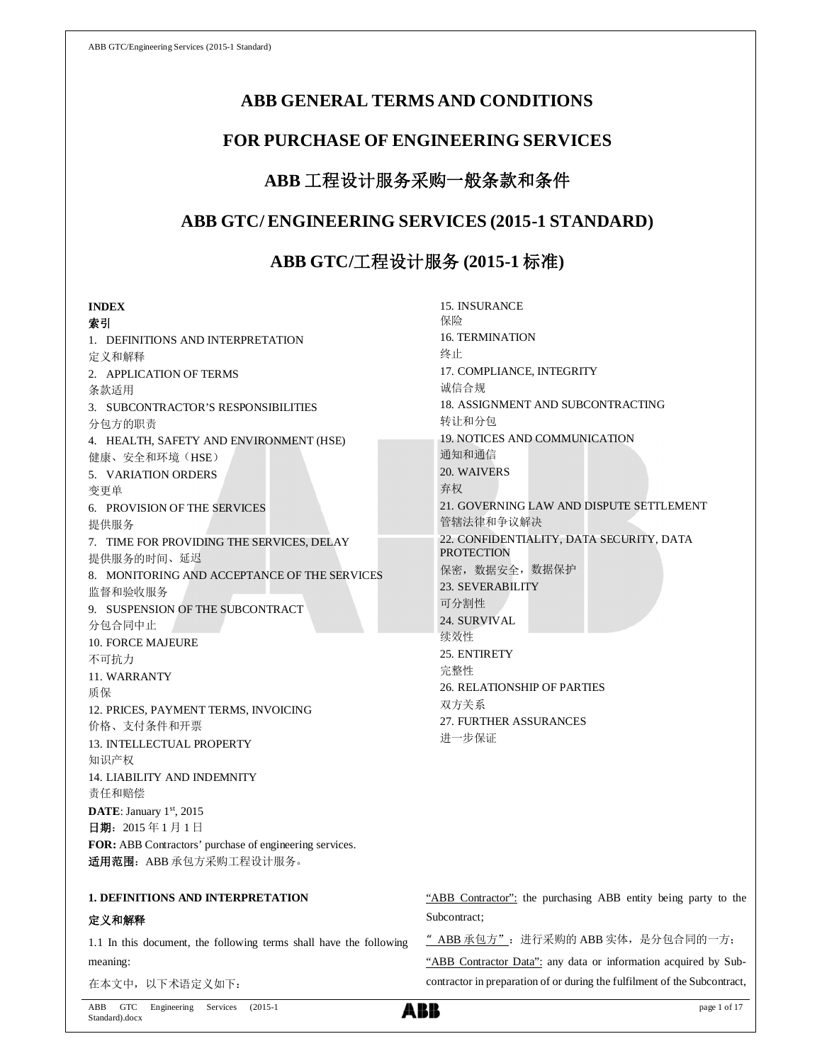# **ABB GENERAL TERMS AND CONDITIONS**

# **FOR PURCHASE OF ENGINEERING SERVICES**

# **ABB** 工程设计服务采购一般条款和条件

# **ABB GTC/ ENGINEERING SERVICES (2015-1 STANDARD)**

# **ABB GTC/**工程设计服务 **(2015-1** 标准**)**

15. INSURANCE

## **INDEX**

索引 1. DEFINITIONS AND INTERPRETATION 定义和解释 2. APPLICATION OF TERMS 条款适用 3. SUBCONTRACTOR'S RESPONSIBILITIES 分包方的职责 4. HEALTH, SAFETY AND ENVIRONMENT (HSE) 健康、安全和环境(HSE) 5. VARIATION ORDERS 变更单 6. PROVISION OF THE SERVICES 提供服务 7. TIME FOR PROVIDING THE SERVICES, DELAY 提供服务的时间、延迟 8. MONITORING AND ACCEPTANCE OF THE SERVICES 监督和验收服务 9. SUSPENSION OF THE SUBCONTRACT 分包合同中止 10. FORCE MAJEURE 不可抗力 11. WARRANTY 质保 12. PRICES, PAYMENT TERMS, INVOICING 价格、支付条件和开票 13. INTELLECTUAL PROPERTY 知识产权 14. LIABILITY AND INDEMNITY 责任和赔偿 DATE: January 1st, 2015 日期:2015 年 1 月 1 日 **FOR:** ABB Contractors' purchase of engineering services. 适用范围: ABB 承包方采购工程设计服务。

# **1. DEFINITIONS AND INTERPRETATION**

## 定义和解释

1.1 In this document, the following terms shall have the following meaning:

在本文中,以下术语定义如下:

保险 16. TERMINATION 终止 17. COMPLIANCE, INTEGRITY 诚信合规 18. ASSIGNMENT AND SUBCONTRACTING 转让和分包 19. NOTICES AND COMMUNICATION 通知和通信 20. WAIVERS 弃权 21. GOVERNING LAW AND DISPUTE SETTLEMENT 管辖法律和争议解决 22. CONFIDENTIALITY, DATA SECURITY, DATA **PROTECTION** 保密,数据安全,数据保护 23. SEVERABILITY 可分割性 24. SURVIVAL 续效性 25. ENTIRETY 完整性 26. RELATIONSHIP OF PARTIES 双方关系 27. FURTHER ASSURANCES 进一步保证

|              | "ABB Contractor": the purchasing ABB entity being party to the |  |  |  |  |
|--------------|----------------------------------------------------------------|--|--|--|--|
| Subcontract: |                                                                |  |  |  |  |

"ABB 承包方":进行采购的 ABB 实体,是分包合同的一方;

"ABB Contractor Data": any data or information acquired by Subcontractor in preparation of or during the fulfilment of the Subcontract,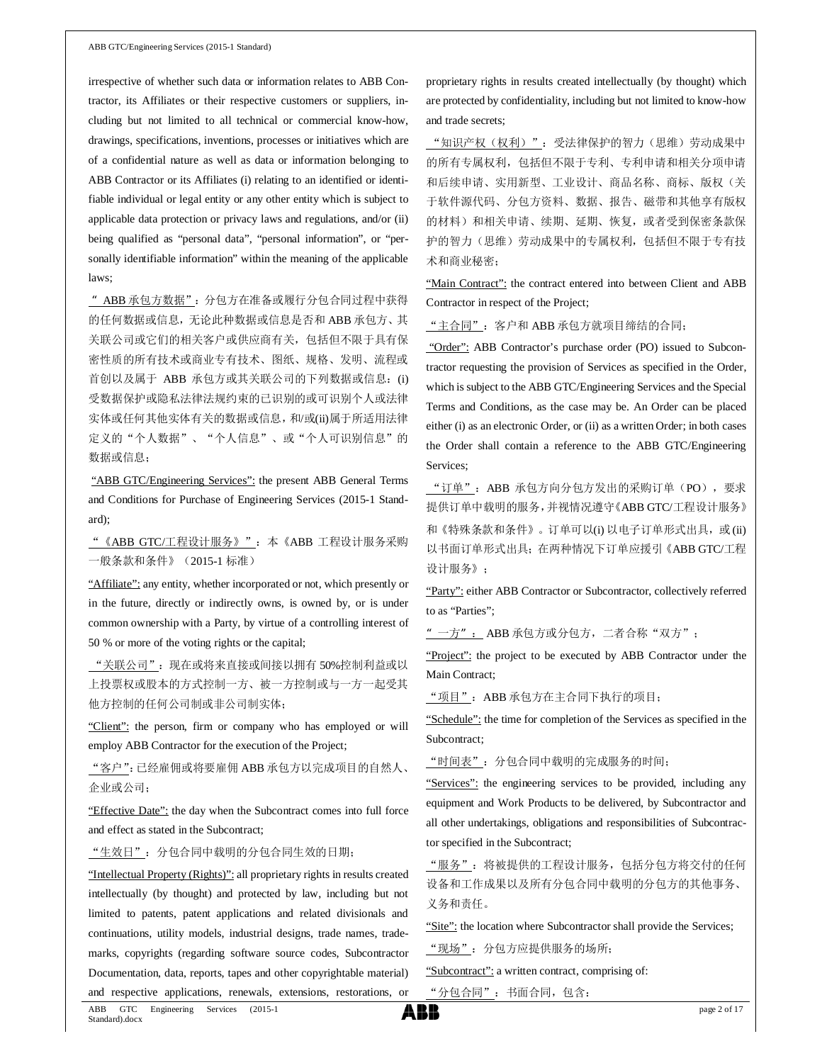irrespective of whether such data or information relates to ABB Contractor, its Affiliates or their respective customers or suppliers, including but not limited to all technical or commercial know-how, drawings, specifications, inventions, processes or initiatives which are of a confidential nature as well as data or information belonging to ABB Contractor or its Affiliates (i) relating to an identified or identifiable individual or legal entity or any other entity which is subject to applicable data protection or privacy laws and regulations, and/or (ii) being qualified as "personal data", "personal information", or "personally identifiable information" within the meaning of the applicable laws;

"ABB 承包方数据":分包方在准备或履行分包合同过程中获得 的任何数据或信息,无论此种数据或信息是否和 ABB 承包方、其 关联公司或它们的相关客户或供应商有关,包括但不限于具有保 密性质的所有技术或商业专有技术、图纸、规格、发明、流程或 首创以及属于 ABB 承包方或其关联公司的下列数据或信息:(i) 受数据保护或隐私法律法规约束的已识别的或可识别个人或法律 实体或任何其他实体有关的数据或信息,和/或(ii)属于所适用法律 定义的"个人数据"、"个人信息"、或"个人可识别信息"的 数据或信息;

"ABB GTC/Engineering Services": the present ABB General Terms and Conditions for Purchase of Engineering Services (2015-1 Standard);

"《ABB GTC/工程设计服务》":本《ABB 工程设计服务采购 一般条款和条件》(2015-1 标准)

"Affiliate": any entity, whether incorporated or not, which presently or in the future, directly or indirectly owns, is owned by, or is under common ownership with a Party, by virtue of a controlling interest of 50 % or more of the voting rights or the capital;

"关联公司":现在或将来直接或间接以拥有 50%控制利益或以 上投票权或股本的方式控制一方、被一方控制或与一方一起受其 他方控制的任何公司制或非公司制实体;

"Client": the person, firm or company who has employed or will employ ABB Contractor for the execution of the Project;

"客户":已经雇佣或将要雇佣 ABB 承包方以完成项目的自然人、 企业或公司;

"Effective Date": the day when the Subcontract comes into full force and effect as stated in the Subcontract;

"生效日":分包合同中载明的分包合同生效的日期;

"Intellectual Property (Rights)": all proprietary rights in results created intellectually (by thought) and protected by law, including but not limited to patents, patent applications and related divisionals and continuations, utility models, industrial designs, trade names, trademarks, copyrights (regarding software source codes, Subcontractor Documentation, data, reports, tapes and other copyrightable material) and respective applications, renewals, extensions, restorations, or proprietary rights in results created intellectually (by thought) which are protected by confidentiality, including but not limited to know-how and trade secrets;

"知识产权(权利)":受法律保护的智力(思维)劳动成果中 的所有专属权利,包括但不限于专利、专利申请和相关分项申请 和后续申请、实用新型、工业设计、商品名称、商标、版权(关 于软件源代码、分包方资料、数据、报告、磁带和其他享有版权 的材料)和相关申请、续期、延期、恢复,或者受到保密条款保 护的智力(思维)劳动成果中的专属权利,包括但不限于专有技 术和商业秘密;

"Main Contract": the contract entered into between Client and ABB Contractor in respect of the Project;

"主合同":客户和 ABB 承包方就项目缔结的合同;

"Order": ABB Contractor's purchase order (PO) issued to Subcontractor requesting the provision of Services as specified in the Order, which is subject to the ABB GTC/Engineering Services and the Special Terms and Conditions, as the case may be. An Order can be placed either (i) as an electronic Order, or (ii) as a written Order; in both cases the Order shall contain a reference to the ABB GTC/Engineering Services;

"订单"\_: ABB 承包方向分包方发出的采购订单(PO), 要求 提供订单中载明的服务,并视情况遵守《ABB GTC/工程设计服务》 和《特殊条款和条件》。订单可以(i) 以电子订单形式出具, 或(ii) 以书面订单形式出具;在两种情况下订单应援引《ABB GTC/工程 设计服务》;

"Party": either ABB Contractor or Subcontractor, collectively referred to as "Parties";

"一方": ABB 承包方或分包方,二者合称"双方";

"Project": the project to be executed by ABB Contractor under the Main Contract;

"项目":ABB 承包方在主合同下执行的项目;

"Schedule": the time for completion of the Services as specified in the Subcontract;

"时间表":分包合同中载明的完成服务的时间;

"Services": the engineering services to be provided, including any equipment and Work Products to be delivered, by Subcontractor and all other undertakings, obligations and responsibilities of Subcontractor specified in the Subcontract;

"服务":将被提供的工程设计服务,包括分包方将交付的任何 设备和工作成果以及所有分包合同中载明的分包方的其他事务、 义务和责任。

"Site": the location where Subcontractor shall provide the Services;

"现场":分包方应提供服务的场所;

"Subcontract": a written contract, comprising of:

"分包合同":书面合同,包含:

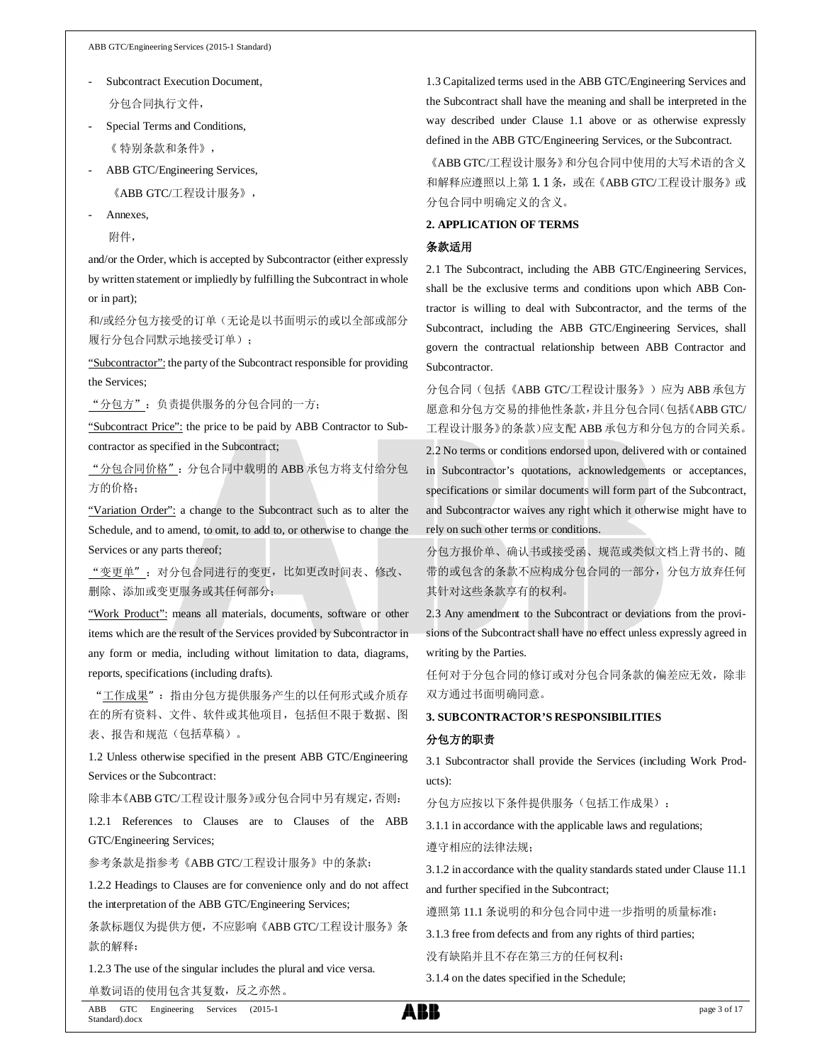ABB GTC/Engineering Services (2015-1 Standard)

- Subcontract Execution Document, 分包合同执行文件,
- Special Terms and Conditions, 《 特别条款和条件》,
- ABB GTC/Engineering Services,

《ABB GTC/工程设计服务》,

Annexes,

附件,

and/or the Order, which is accepted by Subcontractor (either expressly by written statement or impliedly by fulfilling the Subcontract in whole or in part);

和/或经分包方接受的订单(无论是以书面明示的或以全部或部分 履行分包合同默示地接受订单);

"Subcontractor": the party of the Subcontract responsible for providing the Services;

"分包方":负责提供服务的分包合同的一方;

"Subcontract Price": the price to be paid by ABB Contractor to Subcontractor as specified in the Subcontract;

"分包合同价格":分包合同中载明的 ABB 承包方将支付给分包 方的价格;

"Variation Order": a change to the Subcontract such as to alter the Schedule, and to amend, to omit, to add to, or otherwise to change the Services or any parts thereof;

"变更单":对分包合同进行的变更,比如更改时间表、修改、 删除、添加或变更服务或其任何部分;

"Work Product": means all materials, documents, software or other items which are the result of the Services provided by Subcontractor in any form or media, including without limitation to data, diagrams, reports, specifications (including drafts).

"工作成果":指由分包方提供服务产生的以任何形式或介质存 在的所有资料、文件、软件或其他项目,包括但不限于数据、图 表、报告和规范(包括草稿)。

1.2 Unless otherwise specified in the present ABB GTC/Engineering Services or the Subcontract:

除非本《ABB GTC/工程设计服务》或分包合同中另有规定,否则:

1.2.1 References to Clauses are to Clauses of the ABB GTC/Engineering Services;

参考条款是指参考《ABB GTC/工程设计服务》中的条款;

1.2.2 Headings to Clauses are for convenience only and do not affect the interpretation of the ABB GTC/Engineering Services;

条款标题仅为提供方便,不应影响《ABB GTC/工程设计服务》条 款的解释;

1.2.3 The use of the singular includes the plural and vice versa. 单数词语的使用包含其复数,反之亦然。

1.3 Capitalized terms used in the ABB GTC/Engineering Services and the Subcontract shall have the meaning and shall be interpreted in the way described under Clause 1.1 above or as otherwise expressly defined in the ABB GTC/Engineering Services, or the Subcontract.

《ABB GTC/工程设计服务》和分包合同中使用的大写术语的含义 和解释应遵照以上第 1.1 条, 或在《ABB GTC/工程设计服务》或 分包合同中明确定义的含义。

### **2. APPLICATION OF TERMS**

### 条款适用

2.1 The Subcontract, including the ABB GTC/Engineering Services, shall be the exclusive terms and conditions upon which ABB Contractor is willing to deal with Subcontractor, and the terms of the Subcontract, including the ABB GTC/Engineering Services, shall govern the contractual relationship between ABB Contractor and Subcontractor.

分包合同(包括《ABB GTC/工程设计服务》)应为 ABB 承包方 愿意和分包方交易的排他性条款,并且分包合同(包括《ABB GTC/ 工程设计服务》的条款)应支配 ABB 承包方和分包方的合同关系。

2.2 No terms or conditions endorsed upon, delivered with or contained in Subcontractor's quotations, acknowledgements or acceptances, specifications or similar documents will form part of the Subcontract, and Subcontractor waives any right which it otherwise might have to rely on such other terms or conditions.

分包方报价单、确认书或接受函、规范或类似文档上背书的、随 带的或包含的条款不应构成分包合同的一部分,分包方放弃任何 其针对这些条款享有的权利。

2.3 Any amendment to the Subcontract or deviations from the provisions of the Subcontract shall have no effect unless expressly agreed in writing by the Parties.

任何对于分包合同的修订或对分包合同条款的偏差应无效,除非 双方通过书面明确同意。

## **3. SUBCONTRACTOR'S RESPONSIBILITIES**

#### 分包方的职责

3.1 Subcontractor shall provide the Services (including Work Products):

分包方应按以下条件提供服务(包括工作成果):

3.1.1 in accordance with the applicable laws and regulations;

遵守相应的法律法规;

3.1.2 in accordance with the quality standards stated under Clause 11.1 and further specified in the Subcontract;

遵照第 11.1 条说明的和分包合同中进一步指明的质量标准;

3.1.3 free from defects and from any rights of third parties;

没有缺陷并且不存在第三方的任何权利;

3.1.4 on the dates specified in the Schedule;

ABB GTC Engineering Services (2015-1 Standard).docx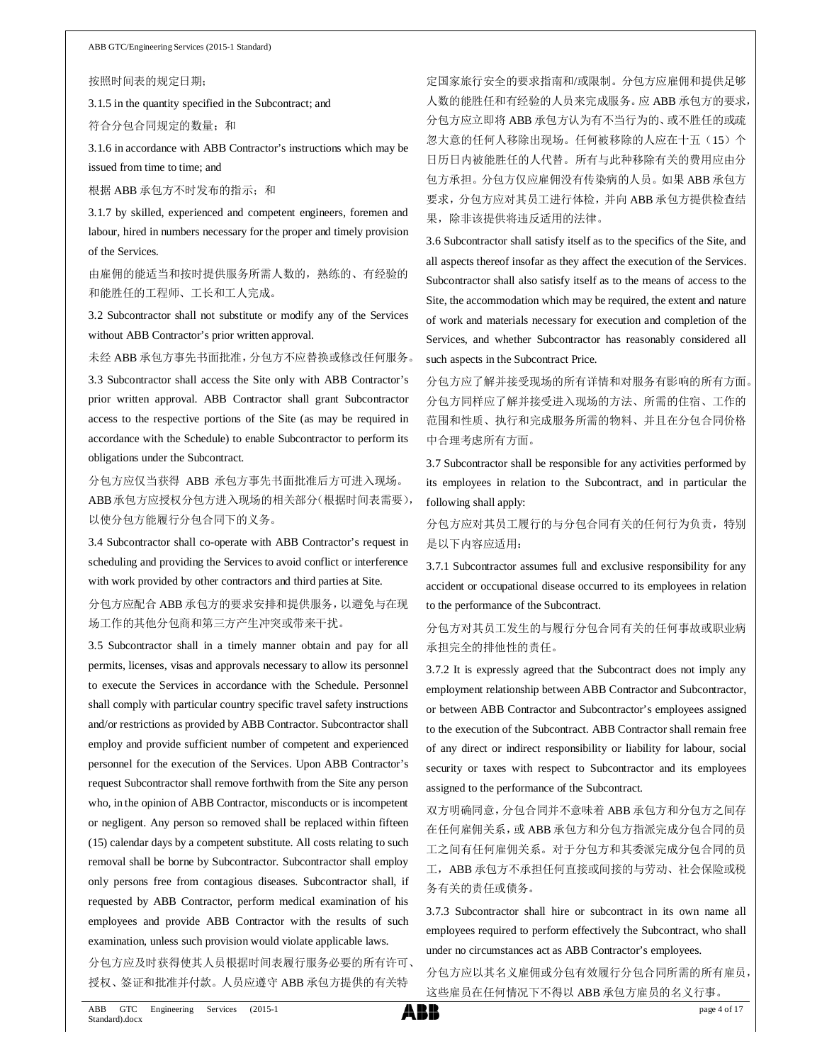按照时间表的规定日期;

3.1.5 in the quantity specified in the Subcontract; and

符合分包合同规定的数量;和

3.1.6 in accordance with ABB Contractor's instructions which may be issued from time to time; and

根据 ABB 承包方不时发布的指示; 和

3.1.7 by skilled, experienced and competent engineers, foremen and labour, hired in numbers necessary for the proper and timely provision of the Services.

由雇佣的能适当和按时提供服务所需人数的,熟练的、有经验的 和能胜任的工程师、工长和工人完成。

3.2 Subcontractor shall not substitute or modify any of the Services without ABB Contractor's prior written approval.

未经 ABB 承包方事先书面批准,分包方不应替换或修改任何服务。 3.3 Subcontractor shall access the Site only with ABB Contractor's prior written approval. ABB Contractor shall grant Subcontractor access to the respective portions of the Site (as may be required in accordance with the Schedule) to enable Subcontractor to perform its obligations under the Subcontract.

分包方应仅当获得 ABB 承包方事先书面批准后方可进入现场。 ABB 承包方应授权分包方进入现场的相关部分(根据时间表需要), 以使分包方能履行分包合同下的义务。

3.4 Subcontractor shall co-operate with ABB Contractor's request in scheduling and providing the Services to avoid conflict or interference with work provided by other contractors and third parties at Site.

分包方应配合 ABB 承包方的要求安排和提供服务,以避免与在现 场工作的其他分包商和第三方产生冲突或带来干扰。

3.5 Subcontractor shall in a timely manner obtain and pay for all permits, licenses, visas and approvals necessary to allow its personnel to execute the Services in accordance with the Schedule. Personnel shall comply with particular country specific travel safety instructions and/or restrictions as provided by ABB Contractor. Subcontractor shall employ and provide sufficient number of competent and experienced personnel for the execution of the Services. Upon ABB Contractor's request Subcontractor shall remove forthwith from the Site any person who, in the opinion of ABB Contractor, misconducts or is incompetent or negligent. Any person so removed shall be replaced within fifteen (15) calendar days by a competent substitute. All costs relating to such removal shall be borne by Subcontractor. Subcontractor shall employ only persons free from contagious diseases. Subcontractor shall, if requested by ABB Contractor, perform medical examination of his employees and provide ABB Contractor with the results of such examination, unless such provision would violate applicable laws.

分包方应及时获得使其人员根据时间表履行服务必要的所有许可、 授权、签证和批准并付款。人员应遵守 ABB 承包方提供的有关特

定国家旅行安全的要求指南和/或限制。分包方应雇佣和提供足够 人数的能胜任和有经验的人员来完成服务。应 ABB 承包方的要求, 分包方应立即将 ABB 承包方认为有不当行为的、或不胜任的或疏 忽大意的任何人移除出现场。任何被移除的人应在十五(15)个 日历日内被能胜任的人代替。所有与此种移除有关的费用应由分 包方承担。分包方仅应雇佣没有传染病的人员。如果 ABB 承包方 要求,分包方应对其员工进行体检,并向 ABB 承包方提供检查结 果,除非该提供将违反适用的法律。

3.6 Subcontractor shall satisfy itself as to the specifics of the Site, and all aspects thereof insofar as they affect the execution of the Services. Subcontractor shall also satisfy itself as to the means of access to the Site, the accommodation which may be required, the extent and nature of work and materials necessary for execution and completion of the Services, and whether Subcontractor has reasonably considered all such aspects in the Subcontract Price.

分包方应了解并接受现场的所有详情和对服务有影响的所有方面。 分包方同样应了解并接受进入现场的方法、所需的住宿、工作的 范围和性质、执行和完成服务所需的物料、并且在分包合同价格 中合理考虑所有方面。

3.7 Subcontractor shall be responsible for any activities performed by its employees in relation to the Subcontract, and in particular the following shall apply:

分包方应对其员工履行的与分包合同有关的任何行为负责,特别 是以下内容应适用:

3.7.1 Subcontractor assumes full and exclusive responsibility for any accident or occupational disease occurred to its employees in relation to the performance of the Subcontract.

分包方对其员工发生的与履行分包合同有关的任何事故或职业病 承担完全的排他性的责任。

3.7.2 It is expressly agreed that the Subcontract does not imply any employment relationship between ABB Contractor and Subcontractor, or between ABB Contractor and Subcontractor's employees assigned to the execution of the Subcontract. ABB Contractor shall remain free of any direct or indirect responsibility or liability for labour, social security or taxes with respect to Subcontractor and its employees assigned to the performance of the Subcontract.

双方明确同意,分包合同并不意味着 ABB 承包方和分包方之间存 在任何雇佣关系,或 ABB 承包方和分包方指派完成分包合同的员 工之间有任何雇佣关系。对于分包方和其委派完成分包合同的员 工, ABB 承包方不承担任何直接或间接的与劳动、社会保险或税 务有关的责任或债务。

3.7.3 Subcontractor shall hire or subcontract in its own name all employees required to perform effectively the Subcontract, who shall under no circumstances act as ABB Contractor's employees.

分包方应以其名义雇佣或分包有效履行分包合同所需的所有雇员, 这些雇员在任何情况下不得以 ABB 承包方雇员的名义行事。

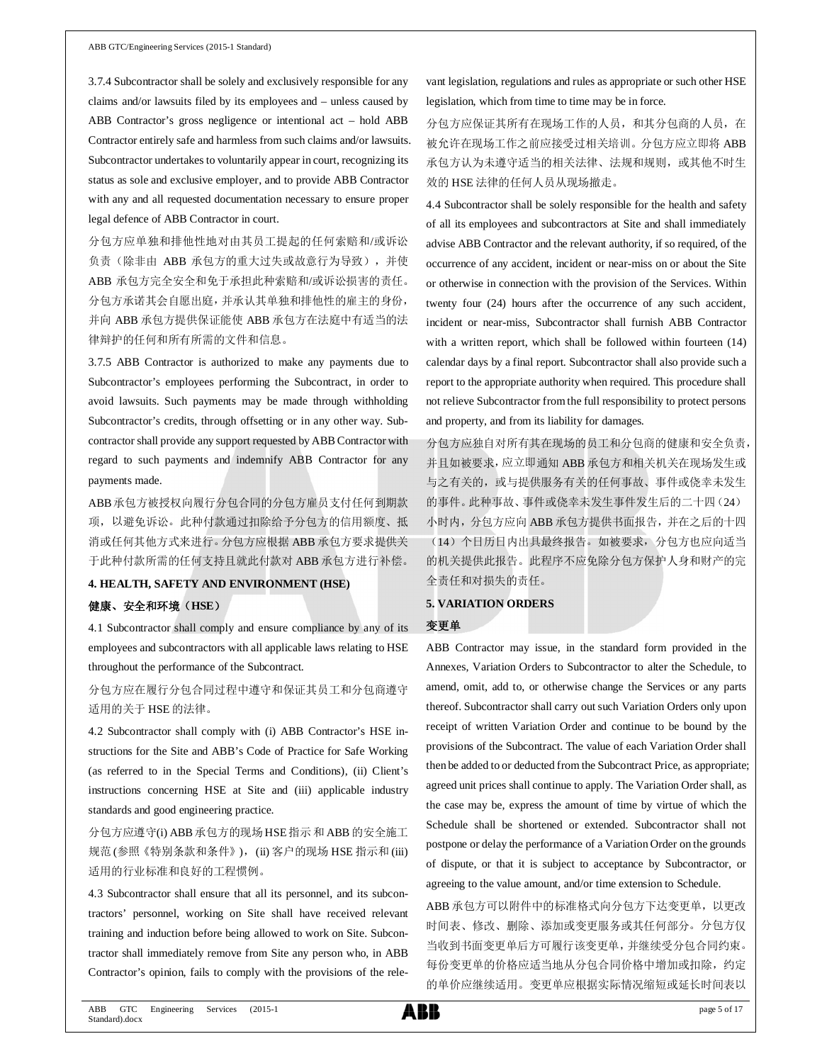3.7.4 Subcontractor shall be solely and exclusively responsible for any claims and/or lawsuits filed by its employees and – unless caused by ABB Contractor's gross negligence or intentional act – hold ABB Contractor entirely safe and harmless from such claims and/or lawsuits. Subcontractor undertakes to voluntarily appear in court, recognizing its status as sole and exclusive employer, and to provide ABB Contractor with any and all requested documentation necessary to ensure proper legal defence of ABB Contractor in court.

分包方应单独和排他性地对由其员工提起的任何索赔和/或诉讼 负责(除非由 ABB 承包方的重大过失或故意行为导致),并使 ABB 承包方完全安全和免于承担此种索赔和/或诉讼损害的责任。 分包方承诺其会自愿出庭,并承认其单独和排他性的雇主的身份, 并向 ABB 承包方提供保证能使 ABB 承包方在法庭中有适当的法 律辩护的任何和所有所需的文件和信息。

3.7.5 ABB Contractor is authorized to make any payments due to Subcontractor's employees performing the Subcontract, in order to avoid lawsuits. Such payments may be made through withholding Subcontractor's credits, through offsetting or in any other way. Subcontractor shall provide any support requested by ABB Contractor with regard to such payments and indemnify ABB Contractor for any payments made.

ABB承包方被授权向履行分包合同的分包方雇员支付任何到期款 项,以避免诉讼。此种付款通过扣除给予分包方的信用额度、抵 消或任何其他方式来进行。分包方应根据 ABB 承包方要求提供关 于此种付款所需的任何支持且就此付款对 ABB 承包方进行补偿。

#### **4. HEALTH, SAFETY AND ENVIRONMENT (HSE)**

#### 健康、安全和环境(**HSE**)

4.1 Subcontractor shall comply and ensure compliance by any of its employees and subcontractors with all applicable laws relating to HSE throughout the performance of the Subcontract.

分包方应在履行分包合同过程中遵守和保证其员工和分包商遵守 适用的关于 HSE 的法律。

4.2 Subcontractor shall comply with (i) ABB Contractor's HSE instructions for the Site and ABB's Code of Practice for Safe Working (as referred to in the Special Terms and Conditions), (ii) Client's instructions concerning HSE at Site and (iii) applicable industry standards and good engineering practice.

分包方应遵守(i) ABB 承包方的现场 HSE 指示 和 ABB 的安全施工 规范 (参照《特别条款和条件》), (ii) 客户的现场 HSE 指示和 (iii) 适用的行业标准和良好的工程惯例。

4.3 Subcontractor shall ensure that all its personnel, and its subcontractors' personnel, working on Site shall have received relevant training and induction before being allowed to work on Site. Subcontractor shall immediately remove from Site any person who, in ABB Contractor's opinion, fails to comply with the provisions of the rele-

vant legislation, regulations and rules as appropriate or such other HSE legislation, which from time to time may be in force.

分包方应保证其所有在现场工作的人员,和其分包商的人员,在 被允许在现场工作之前应接受过相关培训。分包方应立即将 ABB 承包方认为未遵守适当的相关法律、法规和规则,或其他不时生 效的 HSE 法律的任何人员从现场撤走。

4.4 Subcontractor shall be solely responsible for the health and safety of all its employees and subcontractors at Site and shall immediately advise ABB Contractor and the relevant authority, if so required, of the occurrence of any accident, incident or near-miss on or about the Site or otherwise in connection with the provision of the Services. Within twenty four (24) hours after the occurrence of any such accident, incident or near-miss, Subcontractor shall furnish ABB Contractor with a written report, which shall be followed within fourteen (14) calendar days by a final report. Subcontractor shall also provide such a report to the appropriate authority when required. This procedure shall not relieve Subcontractor from the full responsibility to protect persons and property, and from its liability for damages.

分包方应独自对所有其在现场的员工和分包商的健康和安全负责, 并且如被要求,应立即通知 ABB 承包方和相关机关在现场发生或 与之有关的,或与提供服务有关的任何事故、事件或侥幸未发生 的事件。此种事故、事件或侥幸未发生事件发生后的二十四(24) 小时内,分包方应向 ABB 承包方提供书面报告,并在之后的十四 (14)个日历日内出具最终报告。如被要求,分包方也应向适当 的机关提供此报告。此程序不应免除分包方保护人身和财产的完 全责任和对损失的责任。

#### **5. VARIATION ORDERS**

#### 变更单

ABB Contractor may issue, in the standard form provided in the Annexes, Variation Orders to Subcontractor to alter the Schedule, to amend, omit, add to, or otherwise change the Services or any parts thereof. Subcontractor shall carry out such Variation Orders only upon receipt of written Variation Order and continue to be bound by the provisions of the Subcontract. The value of each Variation Order shall then be added to or deducted from the Subcontract Price, as appropriate; agreed unit prices shall continue to apply. The Variation Order shall, as the case may be, express the amount of time by virtue of which the Schedule shall be shortened or extended. Subcontractor shall not postpone or delay the performance of a Variation Order on the grounds of dispute, or that it is subject to acceptance by Subcontractor, or agreeing to the value amount, and/or time extension to Schedule.

ABB 承包方可以附件中的标准格式向分包方下达变更单,以更改 时间表、修改、删除、添加或变更服务或其任何部分。分包方仅 当收到书面变更单后方可履行该变更单,并继续受分包合同约束。 每份变更单的价格应适当地从分包合同价格中增加或扣除,约定 的单价应继续适用。变更单应根据实际情况缩短或延长时间表以

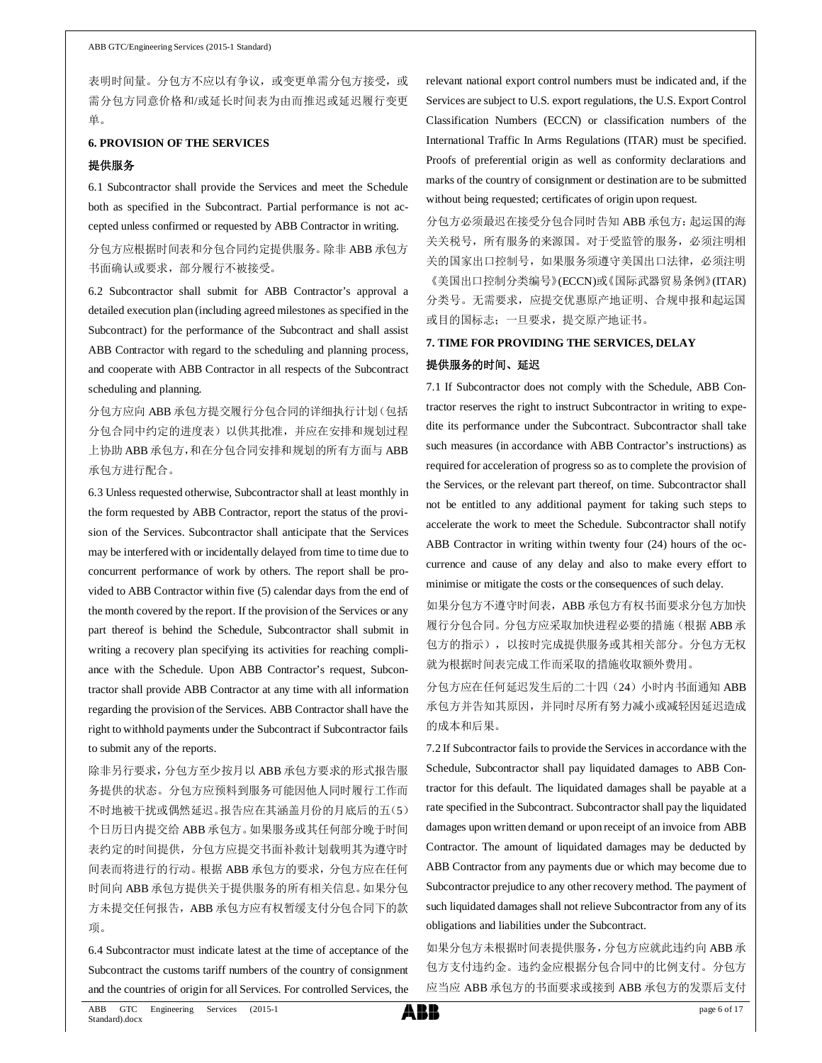表明时间量。分包方不应以有争议, 或变更单需分包方接受, 或 需分包方同意价格和/或延长时间表为由而推迟或延迟履行变更 单。

### **6. PROVISION OF THE SERVICES**

#### 提供服务

6.1 Subcontractor shall provide the Services and meet the Schedule both as specified in the Subcontract. Partial performance is not accepted unless confirmed or requested by ABB Contractor in writing.

分包方应根据时间表和分包合同约定提供服务。除非 ABB 承包方 书面确认或要求,部分履行不被接受。

6.2 Subcontractor shall submit for ABB Contractor's approval a detailed execution plan (including agreed milestones as specified in the Subcontract) for the performance of the Subcontract and shall assist ABB Contractor with regard to the scheduling and planning process, and cooperate with ABB Contractor in all respects of the Subcontract scheduling and planning.

分包方应向 ABB 承包方提交履行分包合同的详细执行计划(包括 分包合同中约定的进度表)以供其批准,并应在安排和规划过程 上协助 ABB 承包方,和在分包合同安排和规划的所有方面与 ABB 承包方进行配合。

6.3 Unless requested otherwise, Subcontractor shall at least monthly in the form requested by ABB Contractor, report the status of the provision of the Services. Subcontractor shall anticipate that the Services may be interfered with or incidentally delayed from time to time due to concurrent performance of work by others. The report shall be provided to ABB Contractor within five (5) calendar days from the end of the month covered by the report. If the provision of the Services or any part thereof is behind the Schedule, Subcontractor shall submit in writing a recovery plan specifying its activities for reaching compliance with the Schedule. Upon ABB Contractor's request, Subcontractor shall provide ABB Contractor at any time with all information regarding the provision of the Services. ABB Contractor shall have the right to withhold payments under the Subcontract if Subcontractor fails to submit any of the reports.

除非另行要求,分包方至少按月以 ABB 承包方要求的形式报告服 务提供的状态。分包方应预料到服务可能因他人同时履行工作而 不时地被干扰或偶然延迟。报告应在其涵盖月份的月底后的五(5) 个日历日内提交给 ABB 承包方。如果服务或其任何部分晚于时间 表约定的时间提供,分包方应提交书面补救计划载明其为遵守时 间表而将进行的行动。根据 ABB 承包方的要求,分包方应在任何 时间向 ABB 承包方提供关于提供服务的所有相关信息。如果分包 方未提交任何报告, ABB 承包方应有权暂缓支付分包合同下的款 项。

6.4 Subcontractor must indicate latest at the time of acceptance of the Subcontract the customs tariff numbers of the country of consignment and the countries of origin for all Services. For controlled Services, the

relevant national export control numbers must be indicated and, if the Services are subject to U.S. export regulations, the U.S. Export Control Classification Numbers (ECCN) or classification numbers of the International Traffic In Arms Regulations (ITAR) must be specified. Proofs of preferential origin as well as conformity declarations and marks of the country of consignment or destination are to be submitted without being requested; certificates of origin upon request.

分包方必须最迟在接受分包合同时告知 ABB 承包方:起运国的海 关关税号,所有服务的来源国。对于受监管的服务,必须注明相 关的国家出口控制号,如果服务须遵守美国出口法律,必须注明 《美国出口控制分类编号》(ECCN)或《国际武器贸易条例》(ITAR) 分类号。无需要求,应提交优惠原产地证明、合规申报和起运国 或目的国标志;一旦要求,提交原产地证书。

# **7. TIME FOR PROVIDING THE SERVICES, DELAY** 提供服务的时间、延迟

7.1 If Subcontractor does not comply with the Schedule, ABB Contractor reserves the right to instruct Subcontractor in writing to expedite its performance under the Subcontract. Subcontractor shall take such measures (in accordance with ABB Contractor's instructions) as required for acceleration of progress so as to complete the provision of the Services, or the relevant part thereof, on time. Subcontractor shall not be entitled to any additional payment for taking such steps to accelerate the work to meet the Schedule. Subcontractor shall notify ABB Contractor in writing within twenty four (24) hours of the occurrence and cause of any delay and also to make every effort to minimise or mitigate the costs or the consequences of such delay.

如果分包方不遵守时间表,ABB 承包方有权书面要求分包方加快 履行分包合同。分包方应采取加快进程必要的措施(根据 ABB 承 包方的指示),以按时完成提供服务或其相关部分。分包方无权 就为根据时间表完成工作而采取的措施收取额外费用。

分包方应在任何延迟发生后的二十四(24)小时内书面通知 ABB 承包方并告知其原因,并同时尽所有努力减小或减轻因延迟造成 的成本和后果。

7.2 If Subcontractor fails to provide the Services in accordance with the Schedule, Subcontractor shall pay liquidated damages to ABB Contractor for this default. The liquidated damages shall be payable at a rate specified in the Subcontract. Subcontractor shall pay the liquidated damages upon written demand or upon receipt of an invoice from ABB Contractor. The amount of liquidated damages may be deducted by ABB Contractor from any payments due or which may become due to Subcontractor prejudice to any other recovery method. The payment of such liquidated damages shall not relieve Subcontractor from any of its obligations and liabilities under the Subcontract.

如果分包方未根据时间表提供服务,分包方应就此违约向 ABB 承 包方支付违约金。违约金应根据分包合同中的比例支付。分包方 应当应 ABB 承包方的书面要求或接到 ABB 承包方的发票后支付

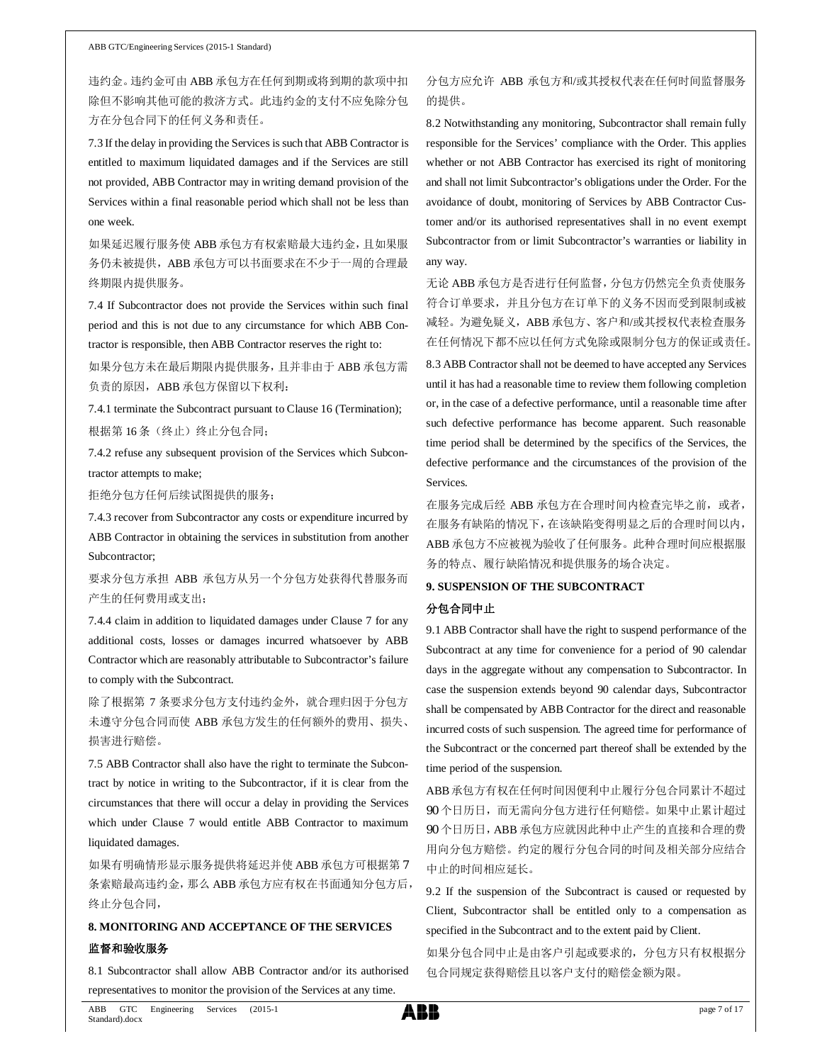违约金。违约金可由 ABB 承包方在任何到期或将到期的款项中扣 除但不影响其他可能的救济方式。此违约金的支付不应免除分包 方在分包合同下的任何义务和责任。

7.3 If the delay in providing the Services is such that ABB Contractor is entitled to maximum liquidated damages and if the Services are still not provided, ABB Contractor may in writing demand provision of the Services within a final reasonable period which shall not be less than one week.

如果延迟履行服务使 ABB 承包方有权索赔最大违约金,且如果服 务仍未被提供,ABB 承包方可以书面要求在不少于一周的合理最 终期限内提供服务。

7.4 If Subcontractor does not provide the Services within such final period and this is not due to any circumstance for which ABB Contractor is responsible, then ABB Contractor reserves the right to:

如果分包方未在最后期限内提供服务,且并非由于 ABB 承包方需 负责的原因, ABB 承包方保留以下权利:

7.4.1 terminate the Subcontract pursuant to Clause 16 (Termination); 根据第 16条(终止)终止分包合同;

7.4.2 refuse any subsequent provision of the Services which Subcontractor attempts to make;

拒绝分包方任何后续试图提供的服务;

7.4.3 recover from Subcontractor any costs or expenditure incurred by ABB Contractor in obtaining the services in substitution from another Subcontractor;

要求分包方承担 ABB 承包方从另一个分包方处获得代替服务而 产生的任何费用或支出;

7.4.4 claim in addition to liquidated damages under Clause 7 for any additional costs, losses or damages incurred whatsoever by ABB Contractor which are reasonably attributable to Subcontractor's failure to comply with the Subcontract.

除了根据第 7 条要求分包方支付违约金外, 就合理归因于分包方 未遵守分包合同而使 ABB 承包方发生的任何额外的费用、损失、 损害进行赔偿。

7.5 ABB Contractor shall also have the right to terminate the Subcontract by notice in writing to the Subcontractor, if it is clear from the circumstances that there will occur a delay in providing the Services which under Clause 7 would entitle ABB Contractor to maximum liquidated damages.

如果有明确情形显示服务提供将延迟并使 ABB 承包方可根据第 7 条索赔最高违约金,那么 ABB 承包方应有权在书面通知分包方后, 终止分包合同,

# **8. MONITORING AND ACCEPTANCE OF THE SERVICES** 监督和验收服务

8.1 Subcontractor shall allow ABB Contractor and/or its authorised representatives to monitor the provision of the Services at any time.

## 分包方应允许 ABB 承包方和/或其授权代表在任何时间监督服务 的提供。

8.2 Notwithstanding any monitoring, Subcontractor shall remain fully responsible for the Services' compliance with the Order. This applies whether or not ABB Contractor has exercised its right of monitoring and shall not limit Subcontractor's obligations under the Order. For the avoidance of doubt, monitoring of Services by ABB Contractor Customer and/or its authorised representatives shall in no event exempt Subcontractor from or limit Subcontractor's warranties or liability in any way.

无论 ABB 承包方是否进行任何监督,分包方仍然完全负责使服务 符合订单要求,并且分包方在订单下的义务不因而受到限制或被 减轻。为避免疑义, ABB 承包方、客户和/或其授权代表检查服务 在任何情况下都不应以任何方式免除或限制分包方的保证或责任。

8.3 ABB Contractor shall not be deemed to have accepted any Services until it has had a reasonable time to review them following completion or, in the case of a defective performance, until a reasonable time after such defective performance has become apparent. Such reasonable time period shall be determined by the specifics of the Services, the defective performance and the circumstances of the provision of the Services.

在服务完成后经 ABB 承包方在合理时间内检查完毕之前,或者, 在服务有缺陷的情况下,在该缺陷变得明显之后的合理时间以内, ABB 承包方不应被视为验收了任何服务。此种合理时间应根据服 务的特点、履行缺陷情况和提供服务的场合决定。

## **9. SUSPENSION OF THE SUBCONTRACT**

#### 分包合同中止

9.1 ABB Contractor shall have the right to suspend performance of the Subcontract at any time for convenience for a period of 90 calendar days in the aggregate without any compensation to Subcontractor. In case the suspension extends beyond 90 calendar days, Subcontractor shall be compensated by ABB Contractor for the direct and reasonable incurred costs of such suspension. The agreed time for performance of the Subcontract or the concerned part thereof shall be extended by the time period of the suspension.

ABB承包方有权在任何时间因便利中止履行分包合同累计不超过 90 个日历日,而无需向分包方进行任何赔偿。如果中止累计超过 90 个日历日,ABB 承包方应就因此种中止产生的直接和合理的费 用向分包方赔偿。约定的履行分包合同的时间及相关部分应结合 中止的时间相应延长。

9.2 If the suspension of the Subcontract is caused or requested by Client, Subcontractor shall be entitled only to a compensation as specified in the Subcontract and to the extent paid by Client.

如果分包合同中止是由客户引起或要求的,分包方只有权根据分 包合同规定获得赔偿且以客户支付的赔偿金额为限。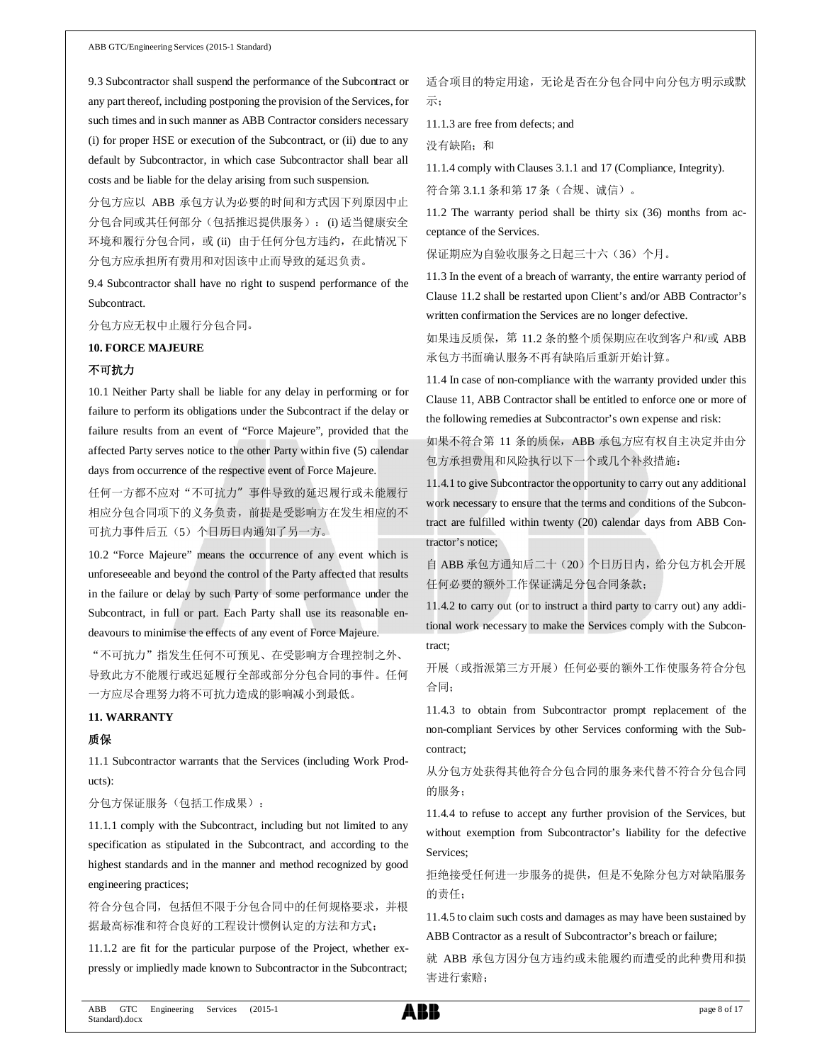9.3 Subcontractor shall suspend the performance of the Subcontract or any part thereof, including postponing the provision of the Services, for such times and in such manner as ABB Contractor considers necessary (i) for proper HSE or execution of the Subcontract, or (ii) due to any default by Subcontractor, in which case Subcontractor shall bear all costs and be liable for the delay arising from such suspension.

分包方应以 ABB 承包方认为必要的时间和方式因下列原因中止 分包合同或其任何部分(包括推迟提供服务): (i) 适当健康安全 环境和履行分包合同, 或 (ii) 由于任何分包方违约, 在此情况下 分包方应承担所有费用和对因该中止而导致的延迟负责。

9.4 Subcontractor shall have no right to suspend performance of the Subcontract.

分包方应无权中止履行分包合同。

#### **10. FORCE MAJEURE**

#### 不可抗力

10.1 Neither Party shall be liable for any delay in performing or for failure to perform its obligations under the Subcontract if the delay or failure results from an event of "Force Majeure", provided that the affected Party serves notice to the other Party within five (5) calendar days from occurrence of the respective event of Force Majeure.

任何一方都不应对"不可抗力"事件导致的延迟履行或未能履行 相应分包合同项下的义务负责,前提是受影响方在发生相应的不 可抗力事件后五(5)个日历日内通知了另一方。

10.2 "Force Majeure" means the occurrence of any event which is unforeseeable and beyond the control of the Party affected that results in the failure or delay by such Party of some performance under the Subcontract, in full or part. Each Party shall use its reasonable endeavours to minimise the effects of any event of Force Majeure.

"不可抗力"指发生任何不可预见、在受影响方合理控制之外、 导致此方不能履行或迟延履行全部或部分分包合同的事件。任何 一方应尽合理努力将不可抗力造成的影响减小到最低。

## **11. WARRANTY**

#### 质保

11.1 Subcontractor warrants that the Services (including Work Products):

分包方保证服务(包括工作成果):

11.1.1 comply with the Subcontract, including but not limited to any specification as stipulated in the Subcontract, and according to the highest standards and in the manner and method recognized by good engineering practices;

符合分包合同,包括但不限于分包合同中的任何规格要求,并根 据最高标准和符合良好的工程设计惯例认定的方法和方式;

11.1.2 are fit for the particular purpose of the Project, whether expressly or impliedly made known to Subcontractor in the Subcontract;

适合项目的特定用途,无论是否在分包合同中向分包方明示或默 示;

11.1.3 are free from defects; and

没有缺陷;和

11.1.4 comply with Clauses 3.1.1 and 17 (Compliance, Integrity).

符合第 3.1.1 条和第 17 条(合规、诚信)。

11.2 The warranty period shall be thirty six (36) months from acceptance of the Services.

保证期应为自验收服务之日起三十六(36)个月。

11.3 In the event of a breach of warranty, the entire warranty period of Clause 11.2 shall be restarted upon Client's and/or ABB Contractor's written confirmation the Services are no longer defective.

如果违反质保,第 11.2 条的整个质保期应在收到客户和/或 ABB 承包方书面确认服务不再有缺陷后重新开始计算。

11.4 In case of non-compliance with the warranty provided under this Clause 11, ABB Contractor shall be entitled to enforce one or more of the following remedies at Subcontractor's own expense and risk:

如果不符合第 11 条的质保, ABB 承包方应有权自主决定并由分 包方承担费用和风险执行以下一个或几个补救措施:

11.4.1 to give Subcontractor the opportunity to carry out any additional work necessary to ensure that the terms and conditions of the Subcontract are fulfilled within twenty (20) calendar days from ABB Contractor's notice;

自 ABB 承包方通知后二十(20)个日历日内,给分包方机会开展 任何必要的额外工作保证满足分包合同条款;

11.4.2 to carry out (or to instruct a third party to carry out) any additional work necessary to make the Services comply with the Subcontract;

开展(或指派第三方开展)任何必要的额外工作使服务符合分包 合同;

11.4.3 to obtain from Subcontractor prompt replacement of the non-compliant Services by other Services conforming with the Subcontract;

从分包方处获得其他符合分包合同的服务来代替不符合分包合同 的服务;

11.4.4 to refuse to accept any further provision of the Services, but without exemption from Subcontractor's liability for the defective Services;

拒绝接受任何进一步服务的提供,但是不免除分包方对缺陷服务 的责任;

11.4.5 to claim such costs and damages as may have been sustained by ABB Contractor as a result of Subcontractor's breach or failure;

就 ABB 承包方因分包方违约或未能履约而遭受的此种费用和损 害进行索赔;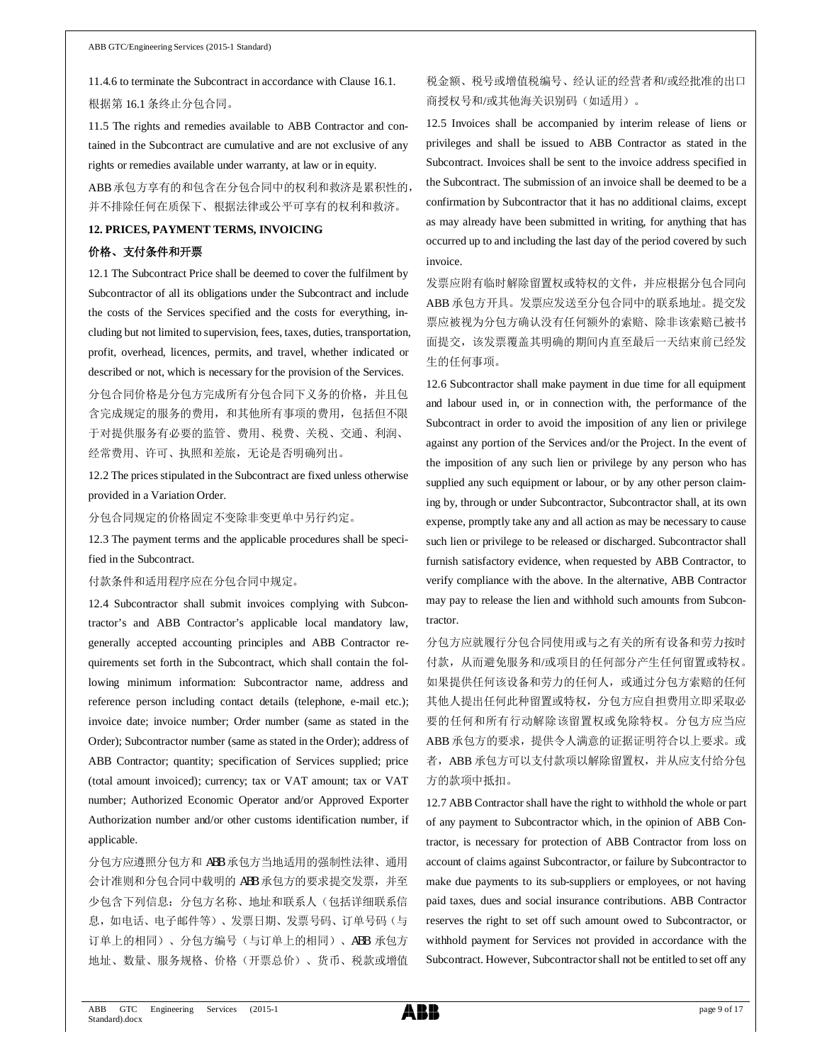11.4.6 to terminate the Subcontract in accordance with Clause 16.1. 根据第 16.1 条终止分包合同。

11.5 The rights and remedies available to ABB Contractor and contained in the Subcontract are cumulative and are not exclusive of any rights or remedies available under warranty, at law or in equity.

ABB 承包方享有的和包含在分包合同中的权利和救济是累积性的, 并不排除任何在质保下、根据法律或公平可享有的权利和救济。

#### **12. PRICES, PAYMENT TERMS, INVOICING**

### 价格、支付条件和开票

12.1 The Subcontract Price shall be deemed to cover the fulfilment by Subcontractor of all its obligations under the Subcontract and include the costs of the Services specified and the costs for everything, including but not limited to supervision, fees, taxes, duties, transportation, profit, overhead, licences, permits, and travel, whether indicated or described or not, which is necessary for the provision of the Services.

分包合同价格是分包方完成所有分包合同下义务的价格,并且包 含完成规定的服务的费用,和其他所有事项的费用,包括但不限 于对提供服务有必要的监管、费用、税费、关税、交通、利润、 经常费用、许可、执照和差旅,无论是否明确列出。

12.2 The prices stipulated in the Subcontract are fixed unless otherwise provided in a Variation Order.

分包合同规定的价格固定不变除非变更单中另行约定。

12.3 The payment terms and the applicable procedures shall be specified in the Subcontract.

付款条件和适用程序应在分包合同中规定。

12.4 Subcontractor shall submit invoices complying with Subcontractor's and ABB Contractor's applicable local mandatory law, generally accepted accounting principles and ABB Contractor requirements set forth in the Subcontract, which shall contain the following minimum information: Subcontractor name, address and reference person including contact details (telephone, e-mail etc.); invoice date; invoice number; Order number (same as stated in the Order); Subcontractor number (same as stated in the Order); address of ABB Contractor; quantity; specification of Services supplied; price (total amount invoiced); currency; tax or VAT amount; tax or VAT number; Authorized Economic Operator and/or Approved Exporter Authorization number and/or other customs identification number, if applicable.

分包方应遵照分包方和 ABB 承包方当地适用的强制性法律、通用 会计准则和分包合同中载明的 ABB 承包方的要求提交发票,并至 少包含下列信息:分包方名称、地址和联系人(包括详细联系信 息,如电话、电子邮件等)、发票日期、发票号码、订单号码(与 订单上的相同)、分包方编号(与订单上的相同)、ABB 承包方 地址、数量、服务规格、价格(开票总价)、货币、税款或增值

# 税金额、税号或增值税编号、经认证的经营者和/或经批准的出口 商授权号和/或其他海关识别码(如适用)。

12.5 Invoices shall be accompanied by interim release of liens or privileges and shall be issued to ABB Contractor as stated in the Subcontract. Invoices shall be sent to the invoice address specified in the Subcontract. The submission of an invoice shall be deemed to be a confirmation by Subcontractor that it has no additional claims, except as may already have been submitted in writing, for anything that has occurred up to and including the last day of the period covered by such invoice.

发票应附有临时解除留置权或特权的文件,并应根据分包合同向 ABB 承包方开具。发票应发送至分包合同中的联系地址。提交发 票应被视为分包方确认没有任何额外的索赔、除非该索赔已被书 面提交,该发票覆盖其明确的期间内直至最后一天结束前已经发 生的任何事项。

12.6 Subcontractor shall make payment in due time for all equipment and labour used in, or in connection with, the performance of the Subcontract in order to avoid the imposition of any lien or privilege against any portion of the Services and/or the Project. In the event of the imposition of any such lien or privilege by any person who has supplied any such equipment or labour, or by any other person claiming by, through or under Subcontractor, Subcontractor shall, at its own expense, promptly take any and all action as may be necessary to cause such lien or privilege to be released or discharged. Subcontractor shall furnish satisfactory evidence, when requested by ABB Contractor, to verify compliance with the above. In the alternative, ABB Contractor may pay to release the lien and withhold such amounts from Subcontractor.

分包方应就履行分包合同使用或与之有关的所有设备和劳力按时 付款,从而避免服务和/或项目的任何部分产生任何留置或特权。 如果提供任何该设备和劳力的任何人,或通过分包方索赔的任何 其他人提出任何此种留置或特权,分包方应自担费用立即采取必 要的任何和所有行动解除该留置权或免除特权。分包方应当应 ABB 承包方的要求,提供令人满意的证据证明符合以上要求。或 者, ABB 承包方可以支付款项以解除留置权, 并从应支付给分包 方的款项中抵扣。

12.7 ABB Contractor shall have the right to withhold the whole or part of any payment to Subcontractor which, in the opinion of ABB Contractor, is necessary for protection of ABB Contractor from loss on account of claims against Subcontractor, or failure by Subcontractor to make due payments to its sub-suppliers or employees, or not having paid taxes, dues and social insurance contributions. ABB Contractor reserves the right to set off such amount owed to Subcontractor, or withhold payment for Services not provided in accordance with the Subcontract. However, Subcontractor shall not be entitled to set off any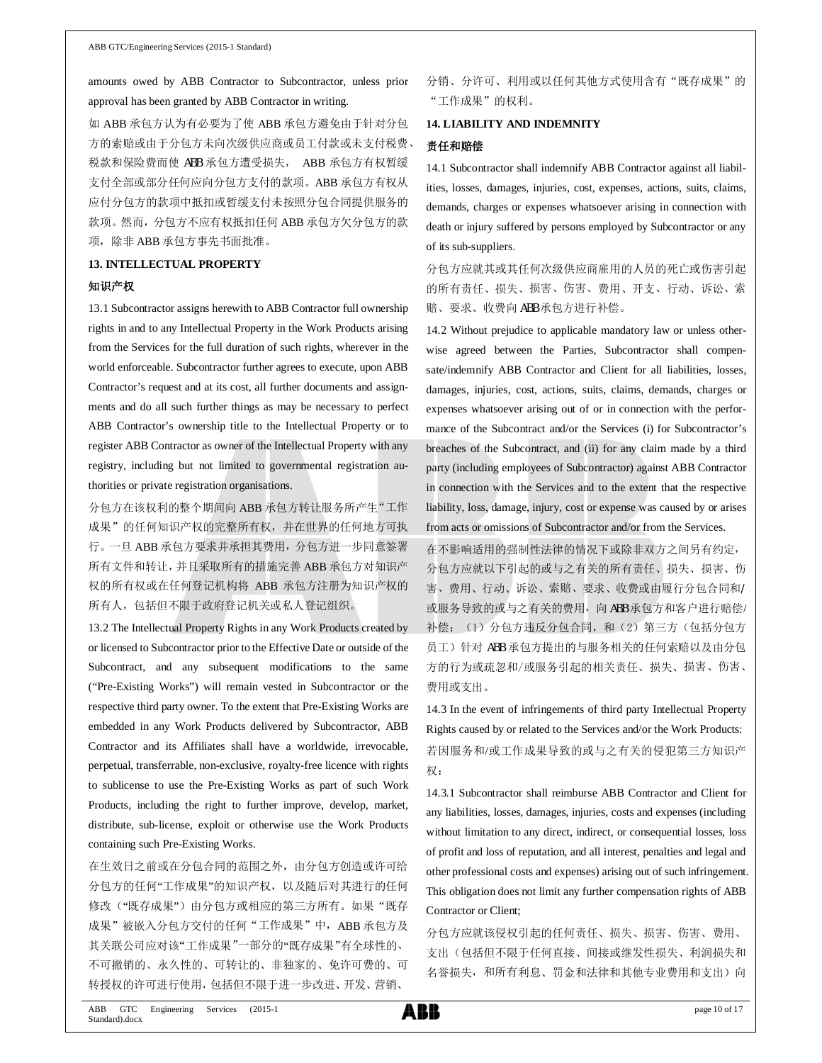amounts owed by ABB Contractor to Subcontractor, unless prior approval has been granted by ABB Contractor in writing.

如 ABB 承包方认为有必要为了使 ABB 承包方避免由于针对分包 方的索赔或由于分包方未向次级供应商或员工付款或未支付税费、 税款和保险费而使 ABB 承包方遭受损失, ABB 承包方有权暂缓 支付全部或部分任何应向分包方支付的款项。ABB 承包方有权从 应付分包方的款项中抵扣或暂缓支付未按照分包合同提供服务的 款项。然而,分包方不应有权抵扣任何 ABB 承包方欠分包方的款 项,除非 ABB 承包方事先书面批准。

# **13. INTELLECTUAL PROPERTY** 知识产权

13.1 Subcontractor assigns herewith to ABB Contractor full ownership rights in and to any Intellectual Property in the Work Products arising from the Services for the full duration of such rights, wherever in the world enforceable. Subcontractor further agrees to execute, upon ABB Contractor's request and at its cost, all further documents and assignments and do all such further things as may be necessary to perfect ABB Contractor's ownership title to the Intellectual Property or to register ABB Contractor as owner of the Intellectual Property with any registry, including but not limited to governmental registration authorities or private registration organisations.

分包方在该权利的整个期间向 ABB 承包方转让服务所产生"工作 成果"的任何知识产权的完整所有权,并在世界的任何地方可执 行。一旦 ABB 承包方要求并承担其费用,分包方进一步同意签署 所有文件和转让,并且采取所有的措施完善 ABB 承包方对知识产 权的所有权或在任何登记机构将 ABB 承包方注册为知识产权的 所有人,包括但不限于政府登记机关或私人登记组织。

13.2 The Intellectual Property Rights in any Work Products created by or licensed to Subcontractor prior to the Effective Date or outside of the Subcontract, and any subsequent modifications to the same ("Pre-Existing Works") will remain vested in Subcontractor or the respective third party owner. To the extent that Pre-Existing Works are embedded in any Work Products delivered by Subcontractor, ABB Contractor and its Affiliates shall have a worldwide, irrevocable, perpetual, transferrable, non-exclusive, royalty-free licence with rights to sublicense to use the Pre-Existing Works as part of such Work Products, including the right to further improve, develop, market, distribute, sub-license, exploit or otherwise use the Work Products containing such Pre-Existing Works.

在生效日之前或在分包合同的范围之外,由分包方创造或许可给 分包方的任何"工作成果"的知识产权,以及随后对其进行的任何 修改("既存成果")由分包方或相应的第三方所有。如果"既存 成果"被嵌入分包方交付的任何"工作成果"中, ABB 承包方及 其关联公司应对该"工作成果"一部分的"既存成果"有全球性的、 不可撤销的、永久性的、可转让的、非独家的、免许可费的、可 转授权的许可进行使用,包括但不限于进一步改进、开发、营销、

分销、分许可、利用或以任何其他方式使用含有"既存成果"的 "工作成果"的权利。

#### **14. LIABILITY AND INDEMNITY**

### 责任和赔偿

14.1 Subcontractor shall indemnify ABB Contractor against all liabilities, losses, damages, injuries, cost, expenses, actions, suits, claims, demands, charges or expenses whatsoever arising in connection with death or injury suffered by persons employed by Subcontractor or any of its sub-suppliers.

分包方应就其或其任何次级供应商雇用的人员的死亡或伤害引起 的所有责任、损失、损害、伤害、费用、开支、行动、诉讼、索 赔、要求、收费向 ABB 承包方进行补偿。

14.2 Without prejudice to applicable mandatory law or unless otherwise agreed between the Parties, Subcontractor shall compensate/indemnify ABB Contractor and Client for all liabilities, losses, damages, injuries, cost, actions, suits, claims, demands, charges or expenses whatsoever arising out of or in connection with the performance of the Subcontract and/or the Services (i) for Subcontractor's breaches of the Subcontract, and (ii) for any claim made by a third party (including employees of Subcontractor) against ABB Contractor in connection with the Services and to the extent that the respective liability, loss, damage, injury, cost or expense was caused by or arises from acts or omissions of Subcontractor and/or from the Services.

在不影响适用的强制性法律的情况下或除非双方之间另有约定, 分包方应就以下引起的或与之有关的所有责任、损失、损害、伤 害、费用、行动、诉讼、索赔、要求、收费或由履行分包合同和/ 或服务导致的或与之有关的费用, 向 ABB 承包方和客户进行赔偿/ 补偿: (1) 分包方违反分包合同, 和(2) 第三方(包括分包方 员工)针对 ABB 承包方提出的与服务相关的任何索赔以及由分包 方的行为或疏忽和/或服务引起的相关责任、损失、损害、伤害、 费用或支出。

14.3 In the event of infringements of third party Intellectual Property Rights caused by or related to the Services and/or the Work Products: 若因服务和/或工作成果导致的或与之有关的侵犯第三方知识产 权:

14.3.1 Subcontractor shall reimburse ABB Contractor and Client for any liabilities, losses, damages, injuries, costs and expenses (including without limitation to any direct, indirect, or consequential losses, loss of profit and loss of reputation, and all interest, penalties and legal and other professional costs and expenses) arising out of such infringement. This obligation does not limit any further compensation rights of ABB Contractor or Client;

分包方应就该侵权引起的任何责任、损失、损害、伤害、费用、 支出(包括但不限于任何直接、间接或继发性损失、利润损失和 名誉损失,和所有利息、罚金和法律和其他专业费用和支出)向

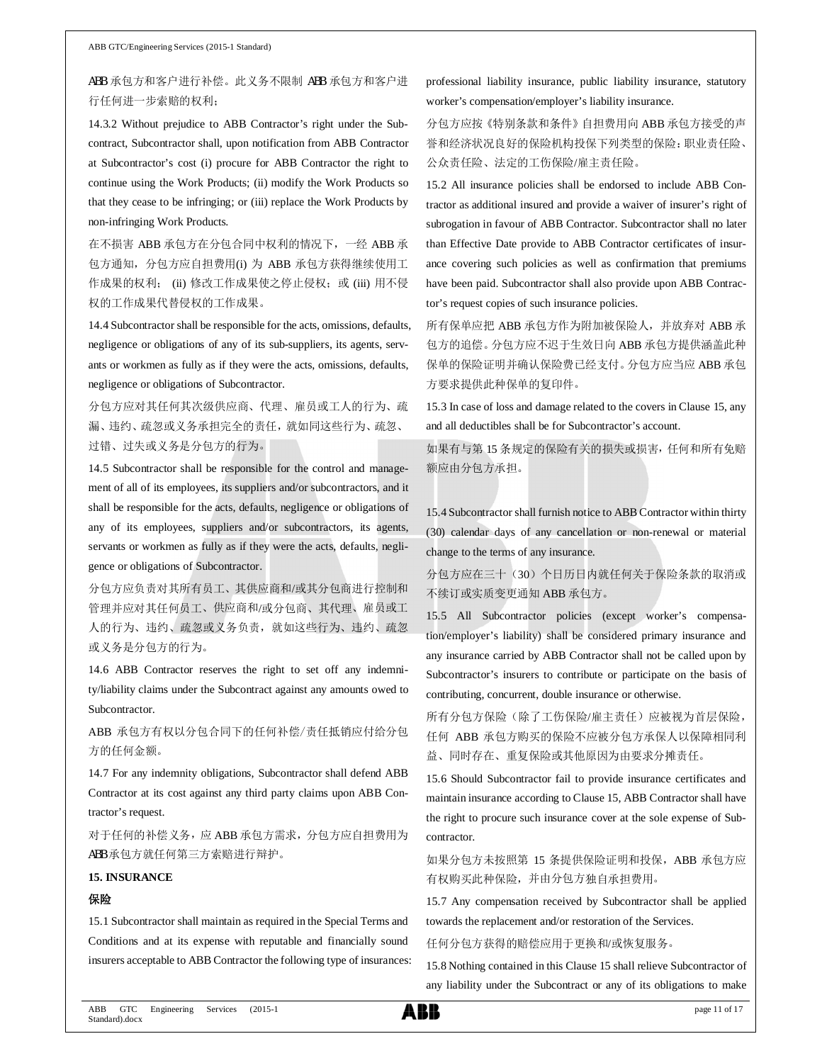ABB 承包方和客户进行补偿。此义务不限制 ABB 承包方和客户进 行任何进一步索赔的权利;

14.3.2 Without prejudice to ABB Contractor's right under the Subcontract, Subcontractor shall, upon notification from ABB Contractor at Subcontractor's cost (i) procure for ABB Contractor the right to continue using the Work Products; (ii) modify the Work Products so that they cease to be infringing; or (iii) replace the Work Products by non-infringing Work Products.

在不损害 ABB 承包方在分包合同中权利的情况下,一经 ABB 承 包方通知,分包方应自担费用(i) 为 ABB 承包方获得继续使用工 作成果的权利; (ii) 修改工作成果使之停止侵权; 或 (iii) 用不侵 权的工作成果代替侵权的工作成果。

14.4 Subcontractor shall be responsible for the acts, omissions, defaults, negligence or obligations of any of its sub-suppliers, its agents, servants or workmen as fully as if they were the acts, omissions, defaults, negligence or obligations of Subcontractor.

分包方应对其任何其次级供应商、代理、雇员或工人的行为、疏 漏、违约、疏忽或义务承担完全的责任,就如同这些行为、疏忽、 过错、过失或义务是分包方的行为。

14.5 Subcontractor shall be responsible for the control and management of all of its employees, its suppliers and/or subcontractors, and it shall be responsible for the acts, defaults, negligence or obligations of any of its employees, suppliers and/or subcontractors, its agents, servants or workmen as fully as if they were the acts, defaults, negligence or obligations of Subcontractor.

分包方应负责对其所有员工、其供应商和/或其分包商进行控制和 管理并应对其任何员工、供应商和/或分包商、其代理、雇员或工 人的行为、违约、疏忽或义务负责,就如这些行为、违约、疏忽 或义务是分包方的行为。

14.6 ABB Contractor reserves the right to set off any indemnity/liability claims under the Subcontract against any amounts owed to Subcontractor.

ABB 承包方有权以分包合同下的任何补偿/责任抵销应付给分包 方的任何金额。

14.7 For any indemnity obligations, Subcontractor shall defend ABB Contractor at its cost against any third party claims upon ABB Contractor's request.

对于任何的补偿义务,应 ABB 承包方需求,分包方应自担费用为 ABB 承包方就任何第三方索赔进行辩护。

## **15. INSURANCE**

#### 保险

15.1 Subcontractor shall maintain as required in the Special Terms and Conditions and at its expense with reputable and financially sound insurers acceptable to ABB Contractor the following type of insurances: professional liability insurance, public liability insurance, statutory worker's compensation/employer's liability insurance.

分包方应按《特别条款和条件》自担费用向 ABB 承包方接受的声 誉和经济状况良好的保险机构投保下列类型的保险:职业责任险、 公众责任险、法定的工伤保险/雇主责任险。

15.2 All insurance policies shall be endorsed to include ABB Contractor as additional insured and provide a waiver of insurer's right of subrogation in favour of ABB Contractor. Subcontractor shall no later than Effective Date provide to ABB Contractor certificates of insurance covering such policies as well as confirmation that premiums have been paid. Subcontractor shall also provide upon ABB Contractor's request copies of such insurance policies.

所有保单应把 ABB 承包方作为附加被保险人,并放弃对 ABB 承 包方的追偿。分包方应不迟于生效日向 ABB 承包方提供涵盖此种 保单的保险证明并确认保险费已经支付。分包方应当应 ABB 承包 方要求提供此种保单的复印件。

15.3 In case of loss and damage related to the covers in Clause 15, any and all deductibles shall be for Subcontractor's account.

如果有与第 15 条规定的保险有关的损失或损害,任何和所有免赔 额应由分包方承担。

15.4 Subcontractor shall furnish notice to ABB Contractor within thirty (30) calendar days of any cancellation or non-renewal or material change to the terms of any insurance.

分包方应在三十(30)个日历日内就任何关于保险条款的取消或 不续订或实质变更通知 ABB 承包方。

15.5 All Subcontractor policies (except worker's compensation/employer's liability) shall be considered primary insurance and any insurance carried by ABB Contractor shall not be called upon by Subcontractor's insurers to contribute or participate on the basis of contributing, concurrent, double insurance or otherwise.

所有分包方保险(除了工伤保险/雇主责任)应被视为首层保险, 任何 ABB 承包方购买的保险不应被分包方承保人以保障相同利 益、同时存在、重复保险或其他原因为由要求分摊责任。

15.6 Should Subcontractor fail to provide insurance certificates and maintain insurance according to Clause 15, ABB Contractor shall have the right to procure such insurance cover at the sole expense of Subcontractor.

如果分包方未按照第 15 条提供保险证明和投保, ABB 承包方应 有权购买此种保险,并由分包方独自承担费用。

15.7 Any compensation received by Subcontractor shall be applied towards the replacement and/or restoration of the Services.

任何分包方获得的赔偿应用于更换和/或恢复服务。

15.8 Nothing contained in this Clause 15 shall relieve Subcontractor of any liability under the Subcontract or any of its obligations to make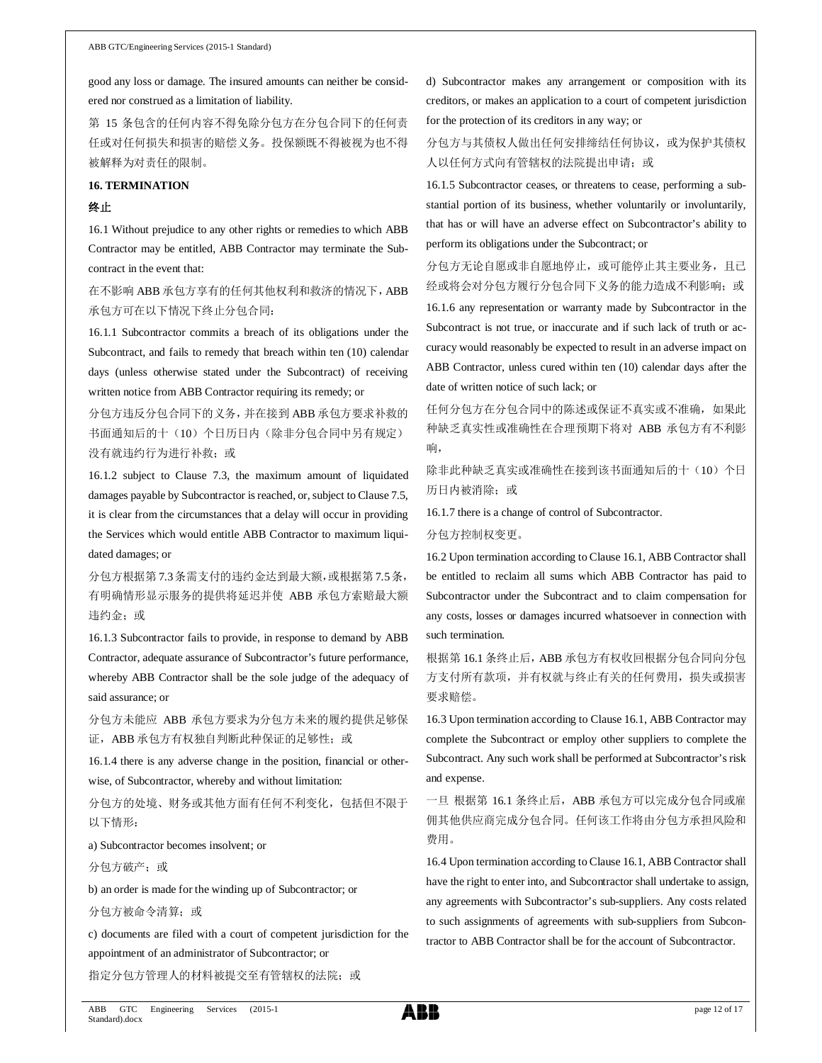good any loss or damage. The insured amounts can neither be considered nor construed as a limitation of liability.

第 15 条包含的任何内容不得免除分包方在分包合同下的任何责 任或对任何损失和损害的赔偿义务。投保额既不得被视为也不得 被解释为对责任的限制。

## **16. TERMINATION**

## 终止

16.1 Without prejudice to any other rights or remedies to which ABB Contractor may be entitled, ABB Contractor may terminate the Subcontract in the event that:

在不影响 ABB 承包方享有的任何其他权利和救济的情况下,ABB 承包方可在以下情况下终止分包合同:

16.1.1 Subcontractor commits a breach of its obligations under the Subcontract, and fails to remedy that breach within ten (10) calendar days (unless otherwise stated under the Subcontract) of receiving written notice from ABB Contractor requiring its remedy; or

分包方违反分包合同下的义务,并在接到 ABB 承包方要求补救的 书面通知后的十(10)个日历日内(除非分包合同中另有规定) 没有就违约行为进行补救;或

16.1.2 subject to Clause 7.3, the maximum amount of liquidated damages payable by Subcontractor is reached, or, subject to Clause 7.5, it is clear from the circumstances that a delay will occur in providing the Services which would entitle ABB Contractor to maximum liquidated damages; or

分包方根据第 7.3条需支付的违约金达到最大额,或根据第 7.5条, 有明确情形显示服务的提供将延迟并使 ABB 承包方索赔最大额 违约金;或

16.1.3 Subcontractor fails to provide, in response to demand by ABB Contractor, adequate assurance of Subcontractor's future performance, whereby ABB Contractor shall be the sole judge of the adequacy of said assurance; or

分包方未能应 ABB 承包方要求为分包方未来的履约提供足够保 证, ABB 承包方有权独自判断此种保证的足够性; 或

16.1.4 there is any adverse change in the position, financial or otherwise, of Subcontractor, whereby and without limitation:

分包方的处境、财务或其他方面有任何不利变化,包括但不限于 以下情形:

a) Subcontractor becomes insolvent; or

分包方破产;或

b) an order is made for the winding up of Subcontractor; or

分包方被命令清算;或

c) documents are filed with a court of competent jurisdiction for the appointment of an administrator of Subcontractor; or

指定分包方管理人的材料被提交至有管辖权的法院;或

d) Subcontractor makes any arrangement or composition with its creditors, or makes an application to a court of competent jurisdiction for the protection of its creditors in any way; or

分包方与其债权人做出任何安排缔结任何协议,或为保护其债权 人以任何方式向有管辖权的法院提出申请;或

16.1.5 Subcontractor ceases, or threatens to cease, performing a substantial portion of its business, whether voluntarily or involuntarily, that has or will have an adverse effect on Subcontractor's ability to perform its obligations under the Subcontract; or

分包方无论自愿或非自愿地停止,或可能停止其主要业务,且已 经或将会对分包方履行分包合同下义务的能力造成不利影响;或

16.1.6 any representation or warranty made by Subcontractor in the Subcontract is not true, or inaccurate and if such lack of truth or accuracy would reasonably be expected to result in an adverse impact on ABB Contractor, unless cured within ten (10) calendar days after the date of written notice of such lack; or

任何分包方在分包合同中的陈述或保证不真实或不准确,如果此 种缺乏真实性或准确性在合理预期下将对 ABB 承包方有不利影 响,

除非此种缺乏真实或准确性在接到该书面通知后的十(10)个日 历日内被消除;或

16.1.7 there is a change of control of Subcontractor.

分包方控制权变更。

16.2 Upon termination according to Clause 16.1, ABB Contractor shall be entitled to reclaim all sums which ABB Contractor has paid to Subcontractor under the Subcontract and to claim compensation for any costs, losses or damages incurred whatsoever in connection with such termination.

根据第 16.1 条终止后, ABB 承包方有权收回根据分包合同向分包 方支付所有款项,并有权就与终止有关的任何费用,损失或损害 要求赔偿。

16.3 Upon termination according to Clause 16.1, ABB Contractor may complete the Subcontract or employ other suppliers to complete the Subcontract. Any such work shall be performed at Subcontractor's risk and expense.

一旦 根据第 16.1 条终止后, ABB 承包方可以完成分包合同或雇 佣其他供应商完成分包合同。任何该工作将由分包方承担风险和 费用。

16.4 Upon termination according to Clause 16.1, ABB Contractor shall have the right to enter into, and Subcontractor shall undertake to assign, any agreements with Subcontractor's sub-suppliers. Any costs related to such assignments of agreements with sub-suppliers from Subcontractor to ABB Contractor shall be for the account of Subcontractor.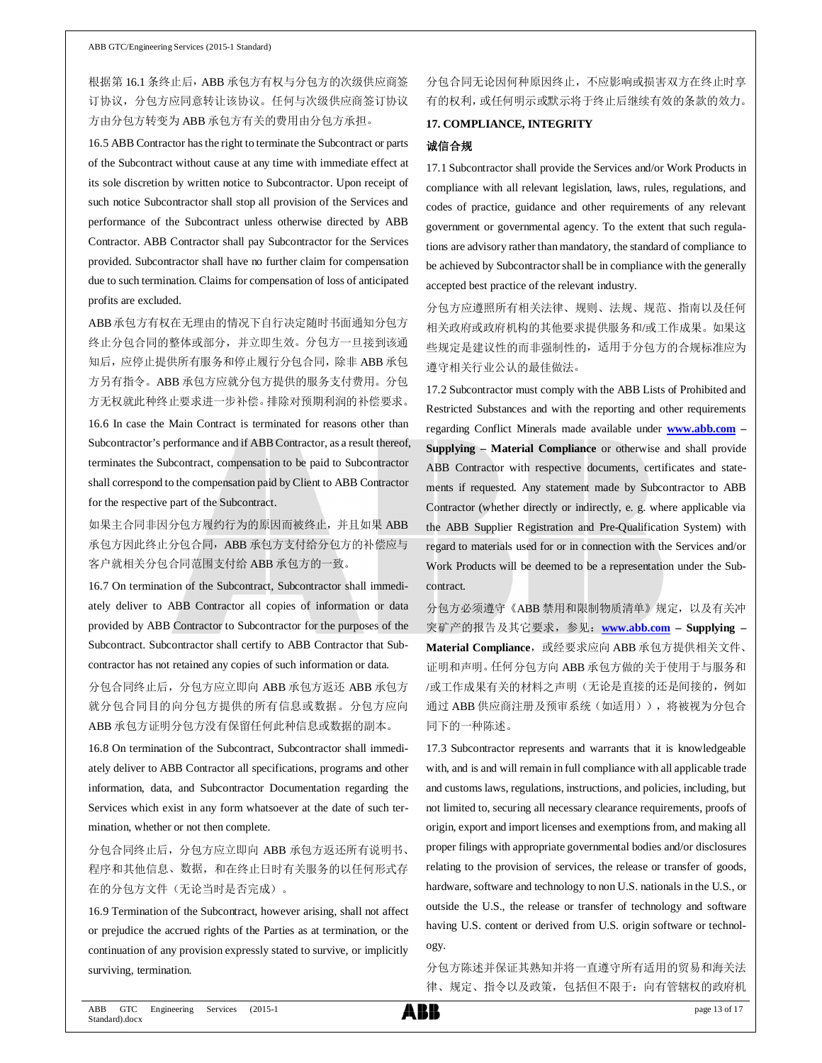根据第 16.1 条终止后, ABB 承包方有权与分包方的次级供应商签 订协议,分包方应同意转让该协议。任何与次级供应商签订协议 方由分包方转变为 ABB 承包方有关的费用由分包方承担。

16.5 ABB Contractor has the right to terminate the Subcontract or parts of the Subcontract without cause at any time with immediate effect at its sole discretion by written notice to Subcontractor. Upon receipt of such notice Subcontractor shall stop all provision of the Services and performance of the Subcontract unless otherwise directed by ABB Contractor. ABB Contractor shall pay Subcontractor for the Services provided. Subcontractor shall have no further claim for compensation due to such termination. Claims for compensation of loss of anticipated profits are excluded.

ABB承包方有权在无理由的情况下自行决定随时书面通知分包方 终止分包合同的整体或部分,并立即生效。分包方一旦接到该通 知后,应停止提供所有服务和停止履行分包合同,除非 ABB 承包 方另有指令。ABB 承包方应就分包方提供的服务支付费用。分包 方无权就此种终止要求进一步补偿。排除对预期利润的补偿要求。 16.6 In case the Main Contract is terminated for reasons other than Subcontractor's performance and if ABB Contractor, as a result thereof, terminates the Subcontract, compensation to be paid to Subcontractor

for the respective part of the Subcontract. 如果主合同非因分包方履约行为的原因而被终止,并且如果 ABB

shall correspond to the compensation paid by Client to ABB Contractor

承包方因此终止分包合同, ABB 承包方支付给分包方的补偿应与 客户就相关分包合同范围支付给 ABB 承包方的一致。

16.7 On termination of the Subcontract, Subcontractor shall immediately deliver to ABB Contractor all copies of information or data provided by ABB Contractor to Subcontractor for the purposes of the Subcontract. Subcontractor shall certify to ABB Contractor that Subcontractor has not retained any copies of such information or data.

分包合同终止后,分包方应立即向 ABB 承包方返还 ABB 承包方 就分包合同目的向分包方提供的所有信息或数据。分包方应向 ABB 承包方证明分包方没有保留任何此种信息或数据的副本。

16.8 On termination of the Subcontract, Subcontractor shall immediately deliver to ABB Contractor all specifications, programs and other information, data, and Subcontractor Documentation regarding the Services which exist in any form whatsoever at the date of such termination, whether or not then complete.

分包合同终止后,分包方应立即向 ABB 承包方返还所有说明书、 程序和其他信息、数据,和在终止日时有关服务的以任何形式存 在的分包方文件(无论当时是否完成)。

16.9 Termination of the Subcontract, however arising, shall not affect or prejudice the accrued rights of the Parties as at termination, or the continuation of any provision expressly stated to survive, or implicitly surviving, termination.

分包合同无论因何种原因终止,不应影响或损害双方在终止时享 有的权利,或任何明示或默示将于终止后继续有效的条款的效力。

#### **17. COMPLIANCE, INTEGRITY**

#### 诚信合规

17.1 Subcontractor shall provide the Services and/or Work Products in compliance with all relevant legislation, laws, rules, regulations, and codes of practice, guidance and other requirements of any relevant government or governmental agency. To the extent that such regulations are advisory rather than mandatory, the standard of compliance to be achieved by Subcontractor shall be in compliance with the generally accepted best practice of the relevant industry.

分包方应遵照所有相关法律、规则、法规、规范、指南以及任何 相关政府或政府机构的其他要求提供服务和/或工作成果。如果这 些规定是建议性的而非强制性的,适用于分包方的合规标准应为 遵守相关行业公认的最佳做法。

17.2 Subcontractor must comply with the ABB Lists of Prohibited and Restricted Substances and with the reporting and other requirements regarding Conflict Minerals made available under **www.abb.com – Supplying – Material Compliance** or otherwise and shall provide ABB Contractor with respective documents, certificates and statements if requested. Any statement made by Subcontractor to ABB Contractor (whether directly or indirectly, e. g. where applicable via the ABB Supplier Registration and Pre-Qualification System) with regard to materials used for or in connection with the Services and/or Work Products will be deemed to be a representation under the Subcontract.

分包方必须遵守《ABB 禁用和限制物质清单》规定,以及有关冲 突矿产的报告及其它要求,参见:**www.abb.com – Supplying –** Material Compliance, 或经要求应向 ABB 承包方提供相关文件、 证明和声明。任何分包方向 ABB 承包方做的关于使用于与服务和 /或工作成果有关的材料之声明(无论是直接的还是间接的,例如 通过 ABB 供应商注册及预审系统(如适用)), 将被视为分包合 同下的一种陈述。

17.3 Subcontractor represents and warrants that it is knowledgeable with, and is and will remain in full compliance with all applicable trade and customs laws, regulations, instructions, and policies, including, but not limited to, securing all necessary clearance requirements, proofs of origin, export and import licenses and exemptions from, and making all proper filings with appropriate governmental bodies and/or disclosures relating to the provision of services, the release or transfer of goods, hardware, software and technology to non U.S. nationals in the U.S., or outside the U.S., the release or transfer of technology and software having U.S. content or derived from U.S. origin software or technology.

分包方陈述并保证其熟知并将一直遵守所有适用的贸易和海关法 律、规定、指令以及政策,包括但不限于:向有管辖权的政府机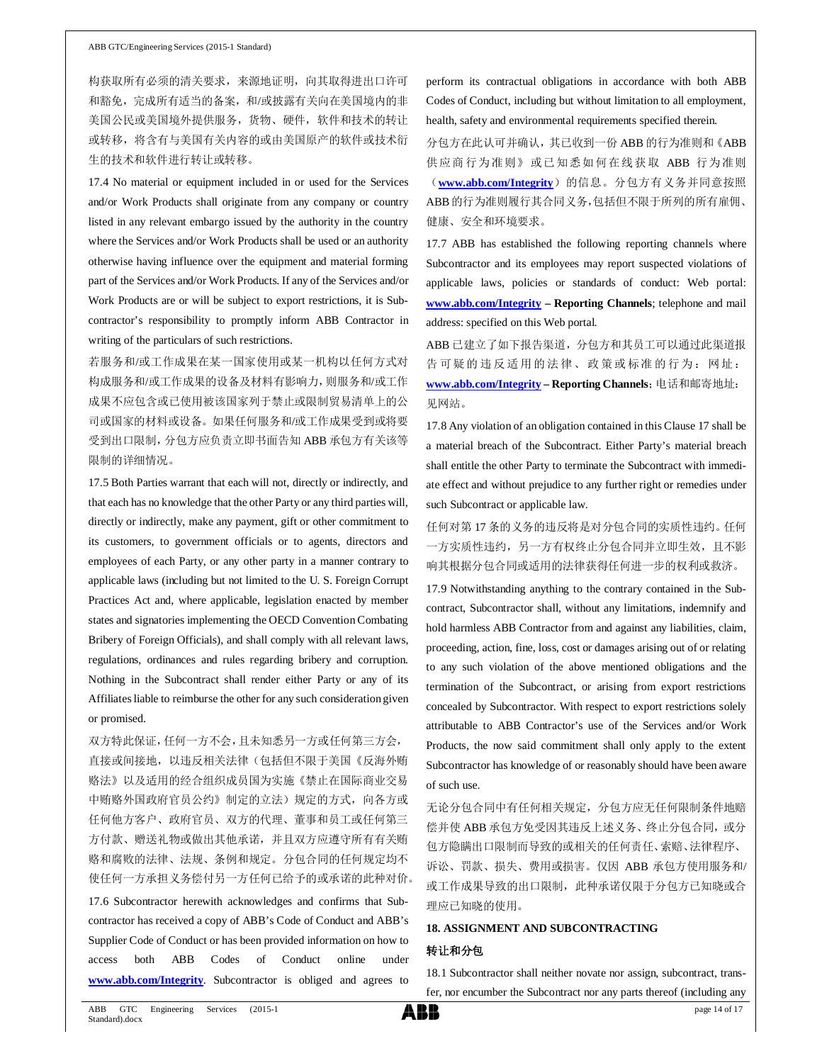#### ABB GTC/Engineering Services (2015-1 Standard)

构获取所有必须的清关要求,来源地证明,向其取得进出口许可 和豁免,完成所有适当的备案,和/或披露有关向在美国境内的非 美国公民或美国境外提供服务,货物、硬件,软件和技术的转让 或转移,将含有与美国有关内容的或由美国原产的软件或技术衍 生的技术和软件进行转让或转移。

17.4 No material or equipment included in or used for the Services and/or Work Products shall originate from any company or country listed in any relevant embargo issued by the authority in the country where the Services and/or Work Products shall be used or an authority otherwise having influence over the equipment and material forming part of the Services and/or Work Products. If any of the Services and/or Work Products are or will be subject to export restrictions, it is Subcontractor's responsibility to promptly inform ABB Contractor in writing of the particulars of such restrictions.

若服务和/或工作成果在某一国家使用或某一机构以任何方式对 构成服务和/或工作成果的设备及材料有影响力,则服务和/或工作 成果不应包含或已使用被该国家列于禁止或限制贸易清单上的公 司或国家的材料或设备。如果任何服务和/或工作成果受到或将要 受到出口限制,分包方应负责立即书面告知 ABB 承包方有关该等 限制的详细情况。

17.5 Both Parties warrant that each will not, directly or indirectly, and that each has no knowledge that the other Party or any third parties will, directly or indirectly, make any payment, gift or other commitment to its customers, to government officials or to agents, directors and employees of each Party, or any other party in a manner contrary to applicable laws (including but not limited to the U. S. Foreign Corrupt Practices Act and, where applicable, legislation enacted by member states and signatories implementing the OECD Convention Combating Bribery of Foreign Officials), and shall comply with all relevant laws, regulations, ordinances and rules regarding bribery and corruption. Nothing in the Subcontract shall render either Party or any of its Affiliates liable to reimburse the other for any such consideration given or promised.

双方特此保证,任何一方不会,且未知悉另一方或任何第三方会, 直接或间接地,以违反相关法律(包括但不限于美国《反海外贿 赂法》以及适用的经合组织成员国为实施《禁止在国际商业交易 中贿赂外国政府官员公约》制定的立法)规定的方式,向各方或 任何他方客户、政府官员、双方的代理、董事和员工或任何第三 方付款、赠送礼物或做出其他承诺,并且双方应遵守所有有关贿 赂和腐败的法律、法规、条例和规定。分包合同的任何规定均不 使任何一方承担义务偿付另一方任何已给予的或承诺的此种对价。

17.6 Subcontractor herewith acknowledges and confirms that Subcontractor has received a copy of ABB's Code of Conduct and ABB's Supplier Code of Conduct or has been provided information on how to access both ABB Codes of Conduct online under **www.abb.com/Integrity**. Subcontractor is obliged and agrees to

perform its contractual obligations in accordance with both ABB Codes of Conduct, including but without limitation to all employment, health, safety and environmental requirements specified therein.

分包方在此认可并确认,其已收到一份 ABB 的行为准则和《ABB 供应商行为准则》或已知悉如何在线获取 ABB 行为准则 (**www.abb.com/Integrity**)的信息。分包方有义务并同意按照 ABB的行为准则履行其合同义务,包括但不限于所列的所有雇佣、 健康、安全和环境要求。

17.7 ABB has established the following reporting channels where Subcontractor and its employees may report suspected violations of applicable laws, policies or standards of conduct: Web portal: **www.abb.com/Integrity – Reporting Channels**; telephone and mail address: specified on this Web portal.

ABB 已建立了如下报告渠道,分包方和其员工可以通过此渠道报 告可疑的违反适用的法律、政策或标准的行为:网址: **www.abb.com/Integrity – Reporting Channels**;电话和邮寄地址: 见网站。

17.8 Any violation of an obligation contained in this Clause 17 shall be a material breach of the Subcontract. Either Party's material breach shall entitle the other Party to terminate the Subcontract with immediate effect and without prejudice to any further right or remedies under such Subcontract or applicable law.

任何对第 17 条的义务的违反将是对分包合同的实质性违约。任何 一方实质性违约,另一方有权终止分包合同并立即生效,且不影 响其根据分包合同或适用的法律获得任何进一步的权利或救济。

17.9 Notwithstanding anything to the contrary contained in the Subcontract, Subcontractor shall, without any limitations, indemnify and hold harmless ABB Contractor from and against any liabilities, claim, proceeding, action, fine, loss, cost or damages arising out of or relating to any such violation of the above mentioned obligations and the termination of the Subcontract, or arising from export restrictions concealed by Subcontractor. With respect to export restrictions solely attributable to ABB Contractor's use of the Services and/or Work Products, the now said commitment shall only apply to the extent Subcontractor has knowledge of or reasonably should have been aware of such use.

无论分包合同中有任何相关规定,分包方应无任何限制条件地赔 偿并使 ABB 承包方免受因其违反上述义务、终止分包合同, 或分 包方隐瞒出口限制而导致的或相关的任何责任、索赔、法律程序、 诉讼、罚款、损失、费用或损害。仅因 ABB 承包方使用服务和/ 或工作成果导致的出口限制,此种承诺仅限于分包方已知晓或合 理应已知晓的使用。

#### **18. ASSIGNMENT AND SUBCONTRACTING**

#### 转让和分包

18.1 Subcontractor shall neither novate nor assign, subcontract, transfer, nor encumber the Subcontract nor any parts thereof (including any

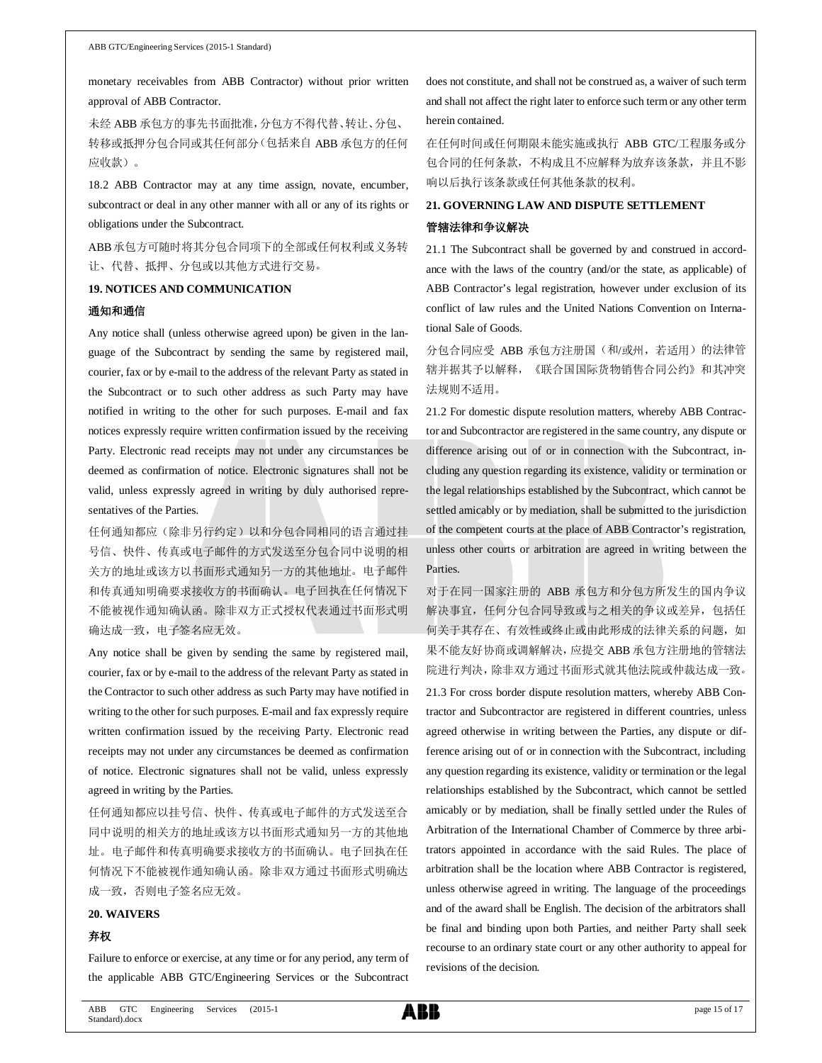monetary receivables from ABB Contractor) without prior written approval of ABB Contractor.

未经 ABB 承包方的事先书面批准,分包方不得代替、转让、分包、 转移或抵押分包合同或其任何部分(包括来自 ABB 承包方的任何 应收款)。

18.2 ABB Contractor may at any time assign, novate, encumber, subcontract or deal in any other manner with all or any of its rights or obligations under the Subcontract.

ABB承包方可随时将其分包合同项下的全部或任何权利或义务转 让、代替、抵押、分包或以其他方式进行交易。

## **19. NOTICES AND COMMUNICATION**

#### 通知和通信

Any notice shall (unless otherwise agreed upon) be given in the language of the Subcontract by sending the same by registered mail, courier, fax or by e-mail to the address of the relevant Party as stated in the Subcontract or to such other address as such Party may have notified in writing to the other for such purposes. E-mail and fax notices expressly require written confirmation issued by the receiving Party. Electronic read receipts may not under any circumstances be deemed as confirmation of notice. Electronic signatures shall not be valid, unless expressly agreed in writing by duly authorised representatives of the Parties.

任何通知都应(除非另行约定)以和分包合同相同的语言通过挂 号信、快件、传真或电子邮件的方式发送至分包合同中说明的相 关方的地址或该方以书面形式通知另一方的其他地址。电子邮件 和传真通知明确要求接收方的书面确认。电子回执在任何情况下 不能被视作通知确认函。除非双方正式授权代表通过书面形式明 确达成一致,电子签名应无效。

Any notice shall be given by sending the same by registered mail, courier, fax or by e-mail to the address of the relevant Party as stated in the Contractor to such other address as such Party may have notified in writing to the other for such purposes. E-mail and fax expressly require written confirmation issued by the receiving Party. Electronic read receipts may not under any circumstances be deemed as confirmation of notice. Electronic signatures shall not be valid, unless expressly agreed in writing by the Parties.

任何通知都应以挂号信、快件、传真或电子邮件的方式发送至合 同中说明的相关方的地址或该方以书面形式通知另一方的其他地 址。电子邮件和传真明确要求接收方的书面确认。电子回执在任 何情况下不能被视作通知确认函。除非双方通过书面形式明确达 成一致,否则电子签名应无效。

#### **20. WAIVERS**

### 弃权

Failure to enforce or exercise, at any time or for any period, any term of the applicable ABB GTC/Engineering Services or the Subcontract does not constitute, and shall not be construed as, a waiver of such term and shall not affect the right later to enforce such term or any other term herein contained.

在任何时间或任何期限未能实施或执行 ABB GTC/工程服务或分 包合同的任何条款,不构成且不应解释为放弃该条款,并且不影 响以后执行该条款或任何其他条款的权利。

# **21. GOVERNING LAW AND DISPUTE SETTLEMENT** 管辖法律和争议解决

21.1 The Subcontract shall be governed by and construed in accordance with the laws of the country (and/or the state, as applicable) of ABB Contractor's legal registration, however under exclusion of its conflict of law rules and the United Nations Convention on International Sale of Goods.

分包合同应受 ABB 承包方注册国(和/或州,若适用)的法律管 辖并据其予以解释,《联合国国际货物销售合同公约》和其冲突 法规则不适用。

21.2 For domestic dispute resolution matters, whereby ABB Contractor and Subcontractor are registered in the same country, any dispute or difference arising out of or in connection with the Subcontract, including any question regarding its existence, validity or termination or the legal relationships established by the Subcontract, which cannot be settled amicably or by mediation, shall be submitted to the jurisdiction of the competent courts at the place of ABB Contractor's registration, unless other courts or arbitration are agreed in writing between the Parties.

对于在同一国家注册的 ABB 承包方和分包方所发生的国内争议 解决事宜,任何分包合同导致或与之相关的争议或差异,包括任 何关于其存在、有效性或终止或由此形成的法律关系的问题,如 果不能友好协商或调解解决,应提交 ABB 承包方注册地的管辖法 院进行判决,除非双方通过书面形式就其他法院或仲裁达成一致。

21.3 For cross border dispute resolution matters, whereby ABB Contractor and Subcontractor are registered in different countries, unless agreed otherwise in writing between the Parties, any dispute or difference arising out of or in connection with the Subcontract, including any question regarding its existence, validity or termination or the legal relationships established by the Subcontract, which cannot be settled amicably or by mediation, shall be finally settled under the Rules of Arbitration of the International Chamber of Commerce by three arbitrators appointed in accordance with the said Rules. The place of arbitration shall be the location where ABB Contractor is registered, unless otherwise agreed in writing. The language of the proceedings and of the award shall be English. The decision of the arbitrators shall be final and binding upon both Parties, and neither Party shall seek recourse to an ordinary state court or any other authority to appeal for revisions of the decision.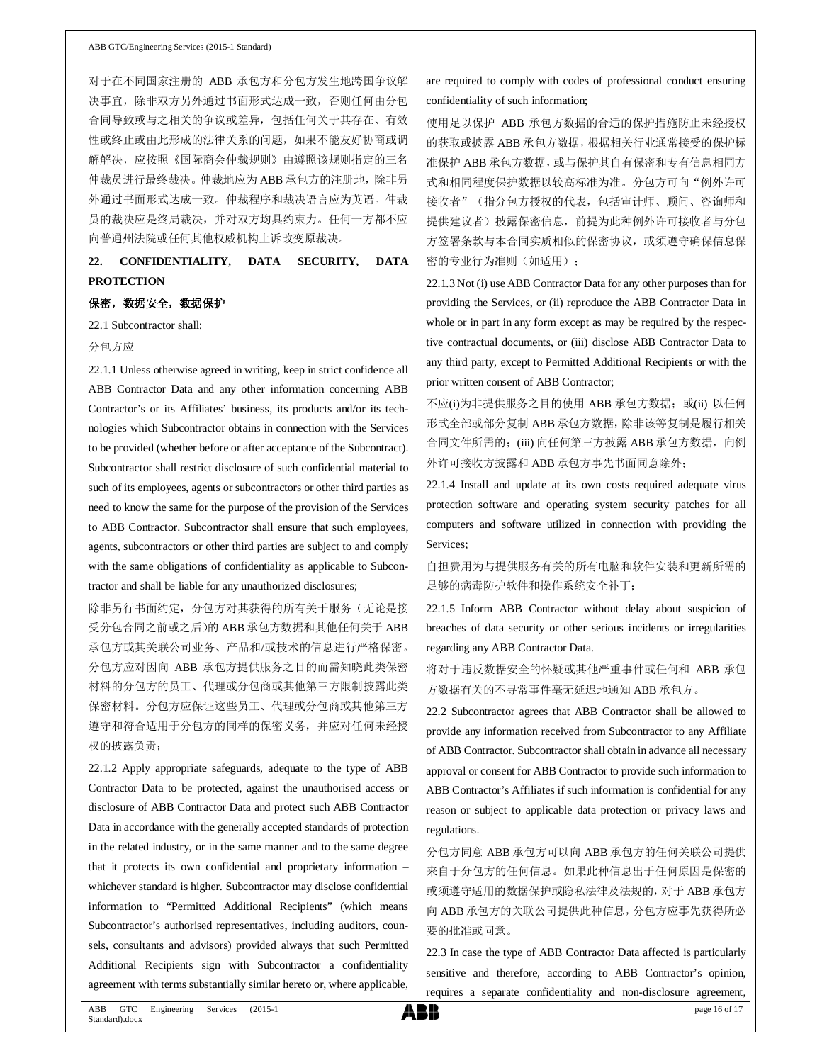对于在不同国家注册的 ABB 承包方和分包方发生地跨国争议解 决事宜,除非双方另外通过书面形式达成一致,否则任何由分包 合同导致或与之相关的争议或差异,包括任何关于其存在、有效 性或终止或由此形成的法律关系的问题,如果不能友好协商或调 解解决,应按照《国际商会仲裁规则》由遵照该规则指定的三名 仲裁员进行最终裁决。仲裁地应为 ABB 承包方的注册地,除非另 外通过书面形式达成一致。仲裁程序和裁决语言应为英语。仲裁 员的裁决应是终局裁决,并对双方均具约束力。任何一方都不应 向普通州法院或任何其他权威机构上诉改变原裁决。

**22. CONFIDENTIALITY, DATA SECURITY, DATA PROTECTION**

#### 保密,数据安全,数据保护

22.1 Subcontractor shall:

#### 分包方应

22.1.1 Unless otherwise agreed in writing, keep in strict confidence all ABB Contractor Data and any other information concerning ABB Contractor's or its Affiliates' business, its products and/or its technologies which Subcontractor obtains in connection with the Services to be provided (whether before or after acceptance of the Subcontract). Subcontractor shall restrict disclosure of such confidential material to such of its employees, agents or subcontractors or other third parties as need to know the same for the purpose of the provision of the Services to ABB Contractor. Subcontractor shall ensure that such employees, agents, subcontractors or other third parties are subject to and comply with the same obligations of confidentiality as applicable to Subcontractor and shall be liable for any unauthorized disclosures;

除非另行书面约定,分包方对其获得的所有关于服务(无论是接 受分包合同之前或之后)的 ABB 承包方数据和其他任何关于 ABB 承包方或其关联公司业务、产品和/或技术的信息进行严格保密。 分包方应对因向 ABB 承包方提供服务之目的而需知晓此类保密 材料的分包方的员工、代理或分包商或其他第三方限制披露此类 保密材料。分包方应保证这些员工、代理或分包商或其他第三方 遵守和符合适用于分包方的同样的保密义务,并应对任何未经授 权的披露负责;

22.1.2 Apply appropriate safeguards, adequate to the type of ABB Contractor Data to be protected, against the unauthorised access or disclosure of ABB Contractor Data and protect such ABB Contractor Data in accordance with the generally accepted standards of protection in the related industry, or in the same manner and to the same degree that it protects its own confidential and proprietary information – whichever standard is higher. Subcontractor may disclose confidential information to "Permitted Additional Recipients" (which means Subcontractor's authorised representatives, including auditors, counsels, consultants and advisors) provided always that such Permitted Additional Recipients sign with Subcontractor a confidentiality agreement with terms substantially similar hereto or, where applicable,

are required to comply with codes of professional conduct ensuring confidentiality of such information;

使用足以保护 ABB 承包方数据的合适的保护措施防止未经授权 的获取或披露 ABB 承包方数据,根据相关行业通常接受的保护标 准保护 ABB 承包方数据,或与保护其自有保密和专有信息相同方 式和相同程度保护数据以较高标准为准。分包方可向"例外许可 接收者"(指分包方授权的代表,包括审计师、顾问、咨询师和 提供建议者)披露保密信息,前提为此种例外许可接收者与分包 方签署条款与本合同实质相似的保密协议, 或须遵守确保信息保 密的专业行为准则(如适用);

22.1.3 Not (i) use ABB Contractor Data for any other purposes than for providing the Services, or (ii) reproduce the ABB Contractor Data in whole or in part in any form except as may be required by the respective contractual documents, or (iii) disclose ABB Contractor Data to any third party, except to Permitted Additional Recipients or with the prior written consent of ABB Contractor;

不应(i)为非提供服务之目的使用 ABB 承包方数据; 或(ii) 以任何 形式全部或部分复制 ABB 承包方数据,除非该等复制是履行相关 合同文件所需的;(iii) 向任何第三方披露 ABB 承包方数据, 向例 外许可接收方披露和 ABB 承包方事先书面同意除外;

22.1.4 Install and update at its own costs required adequate virus protection software and operating system security patches for all computers and software utilized in connection with providing the Services;

自担费用为与提供服务有关的所有电脑和软件安装和更新所需的 足够的病毒防护软件和操作系统安全补丁;

22.1.5 Inform ABB Contractor without delay about suspicion of breaches of data security or other serious incidents or irregularities regarding any ABB Contractor Data.

将对于违反数据安全的怀疑或其他严重事件或任何和 ABB 承包 方数据有关的不寻常事件毫无延迟地通知 ABB 承包方。

22.2 Subcontractor agrees that ABB Contractor shall be allowed to provide any information received from Subcontractor to any Affiliate of ABB Contractor. Subcontractor shall obtain in advance all necessary approval or consent for ABB Contractor to provide such information to ABB Contractor's Affiliates if such information is confidential for any reason or subject to applicable data protection or privacy laws and regulations.

分包方同意 ABB 承包方可以向 ABB 承包方的任何关联公司提供 来自于分包方的任何信息。如果此种信息出于任何原因是保密的 或须遵守适用的数据保护或隐私法律及法规的,对于 ABB 承包方 向 ABB 承包方的关联公司提供此种信息,分包方应事先获得所必 要的批准或同意。

22.3 In case the type of ABB Contractor Data affected is particularly sensitive and therefore, according to ABB Contractor's opinion, requires a separate confidentiality and non-disclosure agreement,